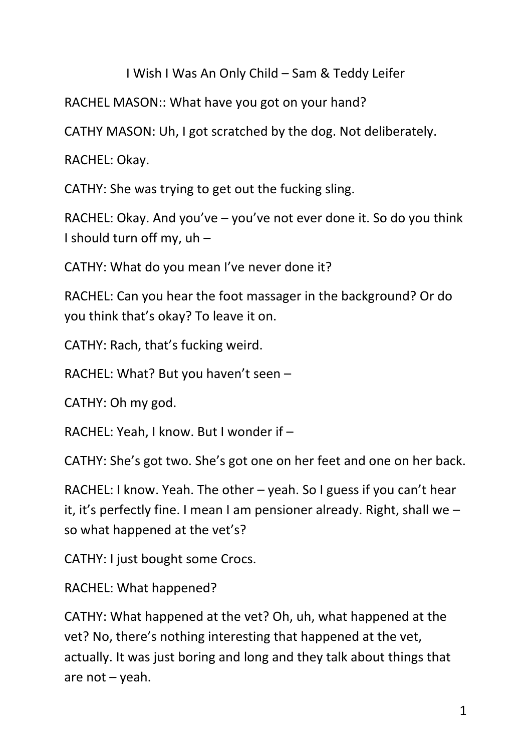# I Wish I Was An Only Child – Sam & Teddy Leifer

RACHEL MASON:: What have you got on your hand?

CATHY MASON: Uh, I got scratched by the dog. Not deliberately.

RACHEL: Okay.

CATHY: She was trying to get out the fucking sling.

RACHEL: Okay. And you've – you've not ever done it. So do you think I should turn off my, uh –

CATHY: What do you mean I've never done it?

RACHEL: Can you hear the foot massager in the background? Or do you think that's okay? To leave it on.

CATHY: Rach, that's fucking weird.

RACHEL: What? But you haven't seen –

CATHY: Oh my god.

RACHEL: Yeah, I know. But I wonder if –

CATHY: She's got two. She's got one on her feet and one on her back.

RACHEL: I know. Yeah. The other – yeah. So I guess if you can't hear it, it's perfectly fine. I mean I am pensioner already. Right, shall we – so what happened at the vet's?

CATHY: I just bought some Crocs.

RACHEL: What happened?

CATHY: What happened at the vet? Oh, uh, what happened at the vet? No, there's nothing interesting that happened at the vet, actually. It was just boring and long and they talk about things that are not – yeah.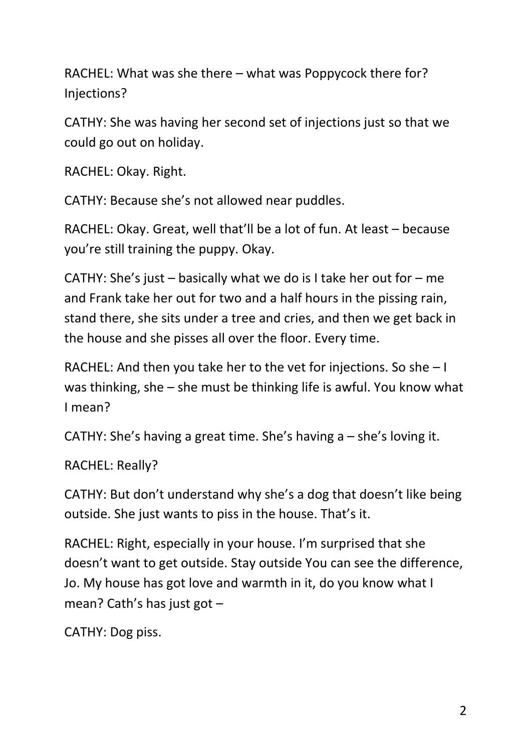RACHEL: What was she there – what was Poppycock there for? Injections?

CATHY: She was having her second set of injections just so that we could go out on holiday.

RACHEL: Okay. Right.

CATHY: Because she's not allowed near puddles.

RACHEL: Okay. Great, well that'll be a lot of fun. At least – because you're still training the puppy. Okay.

CATHY: She's just – basically what we do is I take her out for – me and Frank take her out for two and a half hours in the pissing rain, stand there, she sits under a tree and cries, and then we get back in the house and she pisses all over the floor. Every time.

RACHEL: And then you take her to the vet for injections. So she – I was thinking, she – she must be thinking life is awful. You know what I mean?

CATHY: She's having a great time. She's having a – she's loving it.

RACHEL: Really?

CATHY: But don't understand why she's a dog that doesn't like being outside. She just wants to piss in the house. That's it.

RACHEL: Right, especially in your house. I'm surprised that she doesn't want to get outside. Stay outside You can see the difference, Jo. My house has got love and warmth in it, do you know what I mean? Cath's has just got –

CATHY: Dog piss.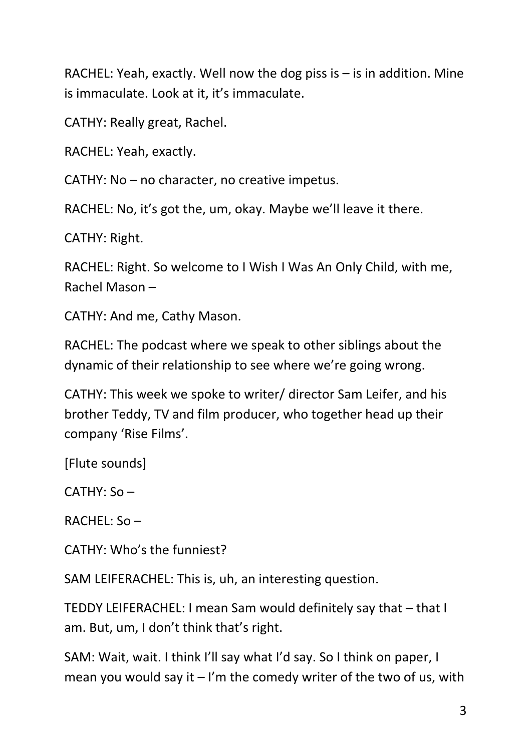RACHEL: Yeah, exactly. Well now the dog piss is  $-$  is in addition. Mine is immaculate. Look at it, it's immaculate.

CATHY: Really great, Rachel.

RACHEL: Yeah, exactly.

CATHY: No – no character, no creative impetus.

RACHEL: No, it's got the, um, okay. Maybe we'll leave it there.

CATHY: Right.

RACHEL: Right. So welcome to I Wish I Was An Only Child, with me, Rachel Mason –

CATHY: And me, Cathy Mason.

RACHEL: The podcast where we speak to other siblings about the dynamic of their relationship to see where we're going wrong.

CATHY: This week we spoke to writer/ director Sam Leifer, and his brother Teddy, TV and film producer, who together head up their company 'Rise Films'.

[Flute sounds]

CATHY: So –

RACHEL: So –

CATHY: Who's the funniest?

SAM LEIFERACHEL: This is, uh, an interesting question.

TEDDY LEIFERACHEL: I mean Sam would definitely say that – that I am. But, um, I don't think that's right.

SAM: Wait, wait. I think I'll say what I'd say. So I think on paper, I mean you would say it  $-1$ 'm the comedy writer of the two of us, with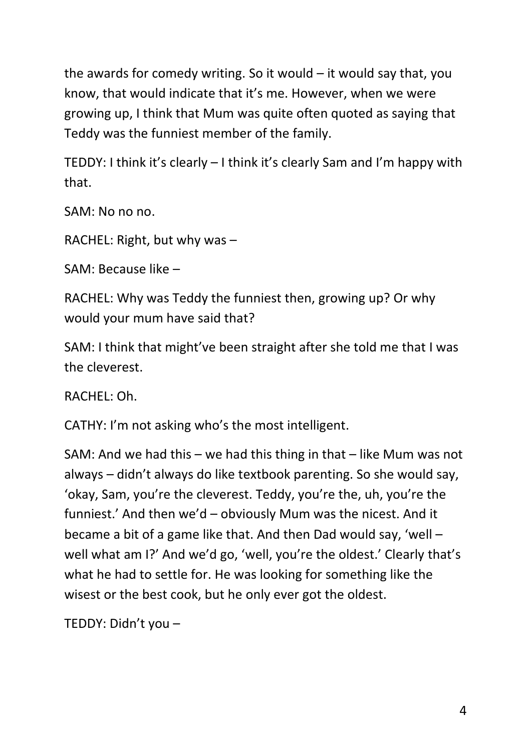the awards for comedy writing. So it would  $-$  it would say that, you know, that would indicate that it's me. However, when we were growing up, I think that Mum was quite often quoted as saying that Teddy was the funniest member of the family.

TEDDY: I think it's clearly – I think it's clearly Sam and I'm happy with that.

SAM: No no no.

RACHEL: Right, but why was –

SAM: Because like –

RACHEL: Why was Teddy the funniest then, growing up? Or why would your mum have said that?

SAM: I think that might've been straight after she told me that I was the cleverest.

RACHEL: Oh.

CATHY: I'm not asking who's the most intelligent.

SAM: And we had this – we had this thing in that – like Mum was not always – didn't always do like textbook parenting. So she would say, 'okay, Sam, you're the cleverest. Teddy, you're the, uh, you're the funniest.' And then we'd – obviously Mum was the nicest. And it became a bit of a game like that. And then Dad would say, 'well – well what am I?' And we'd go, 'well, you're the oldest.' Clearly that's what he had to settle for. He was looking for something like the wisest or the best cook, but he only ever got the oldest.

TEDDY: Didn't you –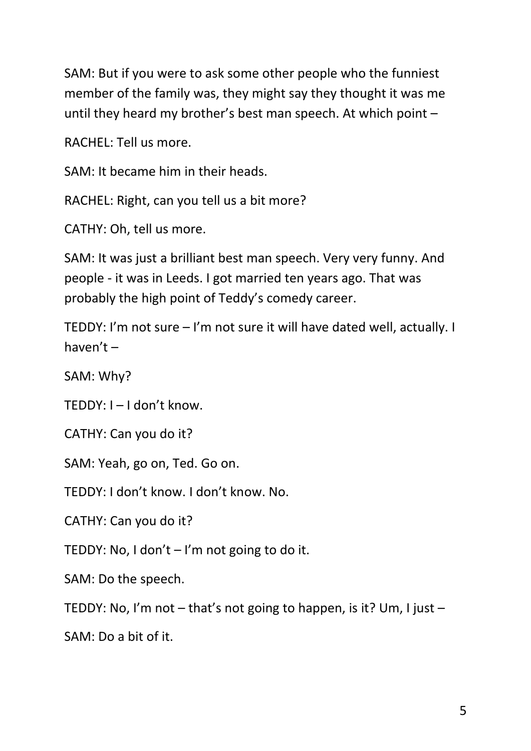SAM: But if you were to ask some other people who the funniest member of the family was, they might say they thought it was me until they heard my brother's best man speech. At which point –

RACHEL: Tell us more.

SAM: It became him in their heads.

RACHEL: Right, can you tell us a bit more?

CATHY: Oh, tell us more.

SAM: It was just a brilliant best man speech. Very very funny. And people - it was in Leeds. I got married ten years ago. That was probably the high point of Teddy's comedy career.

TEDDY: I'm not sure – I'm not sure it will have dated well, actually. I haven't –

SAM: Why?

TEDDY: I – I don't know.

CATHY: Can you do it?

SAM: Yeah, go on, Ted. Go on.

TEDDY: I don't know. I don't know. No.

CATHY: Can you do it?

TEDDY: No, I don't – I'm not going to do it.

SAM: Do the speech.

TEDDY: No, I'm not – that's not going to happen, is it? Um, I just –

SAM: Do a bit of it.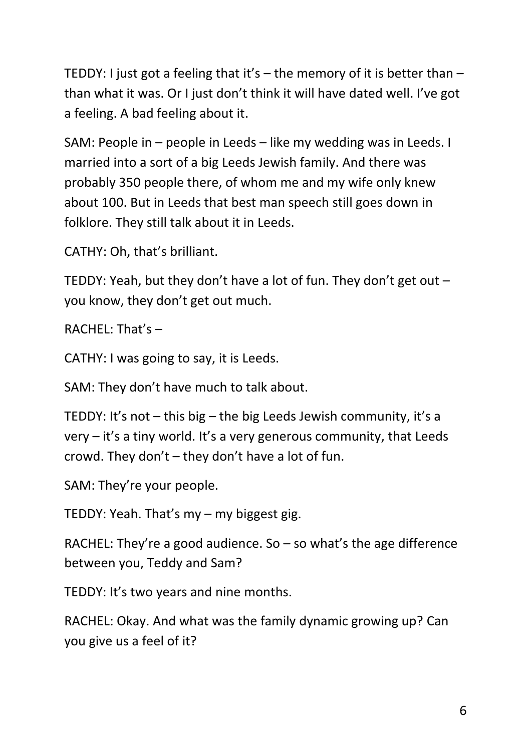TEDDY: I just got a feeling that it's – the memory of it is better than – than what it was. Or I just don't think it will have dated well. I've got a feeling. A bad feeling about it.

SAM: People in – people in Leeds – like my wedding was in Leeds. I married into a sort of a big Leeds Jewish family. And there was probably 350 people there, of whom me and my wife only knew about 100. But in Leeds that best man speech still goes down in folklore. They still talk about it in Leeds.

CATHY: Oh, that's brilliant.

TEDDY: Yeah, but they don't have a lot of fun. They don't get out  $$ you know, they don't get out much.

 $RACHFI: That's -$ 

CATHY: I was going to say, it is Leeds.

SAM: They don't have much to talk about.

TEDDY: It's not  $-$  this big  $-$  the big Leeds Jewish community, it's a very – it's a tiny world. It's a very generous community, that Leeds crowd. They don't – they don't have a lot of fun.

SAM: They're your people.

TEDDY: Yeah. That's my – my biggest gig.

RACHEL: They're a good audience. So  $-$  so what's the age difference between you, Teddy and Sam?

TEDDY: It's two years and nine months.

RACHEL: Okay. And what was the family dynamic growing up? Can you give us a feel of it?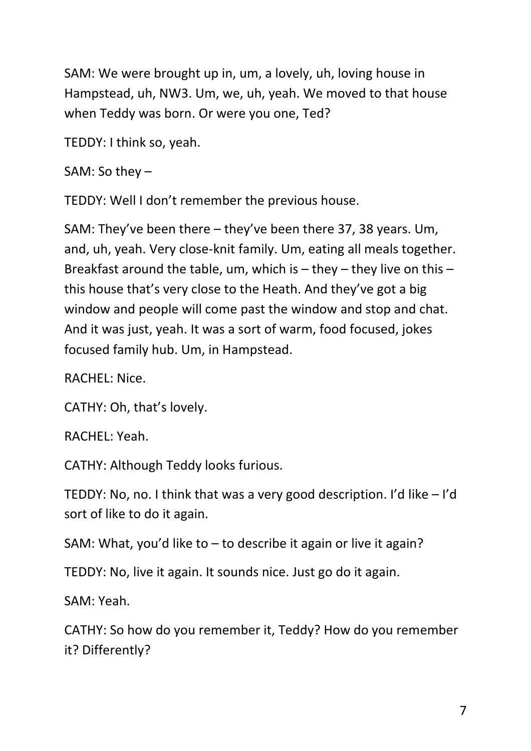SAM: We were brought up in, um, a lovely, uh, loving house in Hampstead, uh, NW3. Um, we, uh, yeah. We moved to that house when Teddy was born. Or were you one, Ted?

TEDDY: I think so, yeah.

SAM: So they –

TEDDY: Well I don't remember the previous house.

SAM: They've been there – they've been there 37, 38 years. Um, and, uh, yeah. Very close-knit family. Um, eating all meals together. Breakfast around the table, um, which is  $-$  they  $-$  they live on this  $$ this house that's very close to the Heath. And they've got a big window and people will come past the window and stop and chat. And it was just, yeah. It was a sort of warm, food focused, jokes focused family hub. Um, in Hampstead.

RACHEL: Nice.

CATHY: Oh, that's lovely.

RACHEL: Yeah.

CATHY: Although Teddy looks furious.

TEDDY: No, no. I think that was a very good description. I'd like – I'd sort of like to do it again.

SAM: What, you'd like to – to describe it again or live it again?

TEDDY: No, live it again. It sounds nice. Just go do it again.

SAM: Yeah.

CATHY: So how do you remember it, Teddy? How do you remember it? Differently?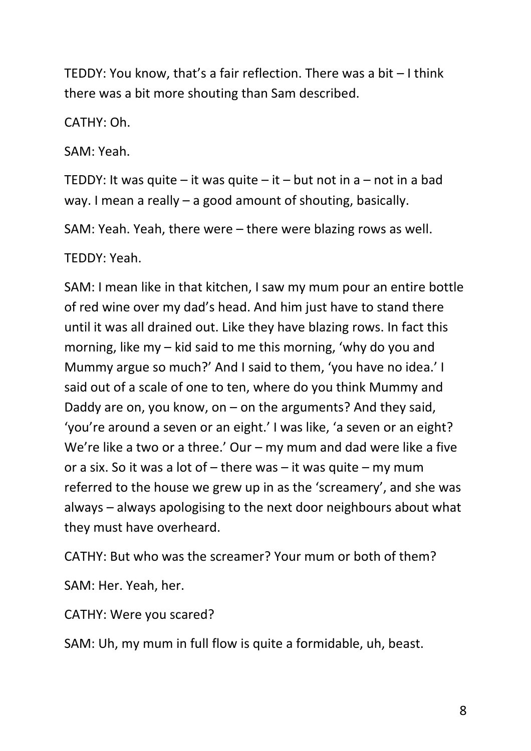TEDDY: You know, that's a fair reflection. There was a bit – I think there was a bit more shouting than Sam described.

CATHY: Oh.

SAM: Yeah.

TEDDY: It was quite – it was quite – it – but not in a – not in a bad way. I mean a really – a good amount of shouting, basically.

SAM: Yeah. Yeah, there were – there were blazing rows as well.

TEDDY: Yeah.

SAM: I mean like in that kitchen, I saw my mum pour an entire bottle of red wine over my dad's head. And him just have to stand there until it was all drained out. Like they have blazing rows. In fact this morning, like my – kid said to me this morning, 'why do you and Mummy argue so much?' And I said to them, 'you have no idea.' I said out of a scale of one to ten, where do you think Mummy and Daddy are on, you know, on – on the arguments? And they said, 'you're around a seven or an eight.' I was like, 'a seven or an eight? We're like a two or a three.' Our – my mum and dad were like a five or a six. So it was a lot of – there was – it was quite – my mum referred to the house we grew up in as the 'screamery', and she was always – always apologising to the next door neighbours about what they must have overheard.

CATHY: But who was the screamer? Your mum or both of them?

SAM: Her. Yeah, her.

CATHY: Were you scared?

SAM: Uh, my mum in full flow is quite a formidable, uh, beast.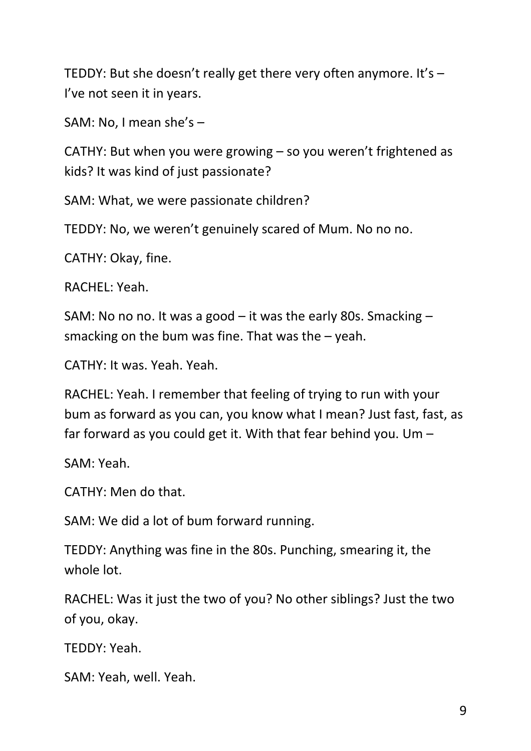TEDDY: But she doesn't really get there very often anymore. It's – I've not seen it in years.

SAM: No, I mean she's –

CATHY: But when you were growing – so you weren't frightened as kids? It was kind of just passionate?

SAM: What, we were passionate children?

TEDDY: No, we weren't genuinely scared of Mum. No no no.

CATHY: Okay, fine.

RACHEL: Yeah.

SAM: No no no. It was a good – it was the early 80s. Smacking – smacking on the bum was fine. That was the  $-$  yeah.

CATHY: It was. Yeah. Yeah.

RACHEL: Yeah. I remember that feeling of trying to run with your bum as forward as you can, you know what I mean? Just fast, fast, as far forward as you could get it. With that fear behind you. Um –

SAM: Yeah.

CATHY: Men do that.

SAM: We did a lot of bum forward running.

TEDDY: Anything was fine in the 80s. Punching, smearing it, the whole lot.

RACHEL: Was it just the two of you? No other siblings? Just the two of you, okay.

TEDDY: Yeah.

SAM: Yeah, well. Yeah.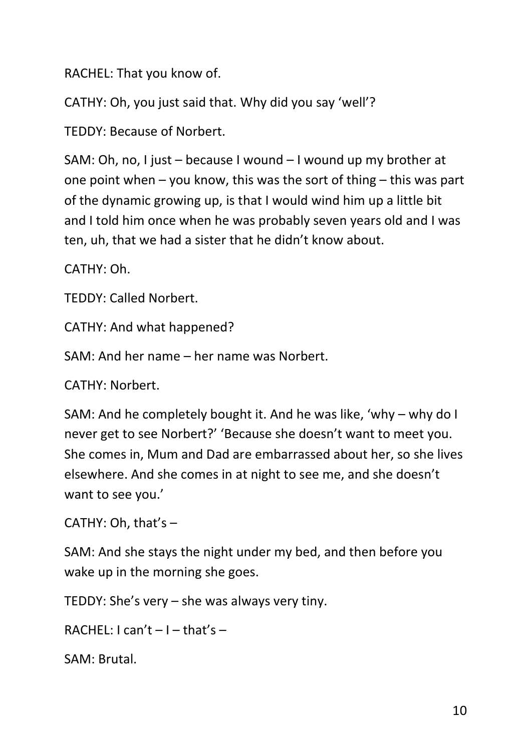RACHEL: That you know of.

CATHY: Oh, you just said that. Why did you say 'well'?

TEDDY: Because of Norbert.

SAM: Oh, no, I just – because I wound – I wound up my brother at one point when – you know, this was the sort of thing – this was part of the dynamic growing up, is that I would wind him up a little bit and I told him once when he was probably seven years old and I was ten, uh, that we had a sister that he didn't know about.

CATHY: Oh.

TEDDY: Called Norbert.

CATHY: And what happened?

SAM: And her name – her name was Norbert.

CATHY: Norbert.

SAM: And he completely bought it. And he was like, 'why – why do I never get to see Norbert?' 'Because she doesn't want to meet you. She comes in, Mum and Dad are embarrassed about her, so she lives elsewhere. And she comes in at night to see me, and she doesn't want to see you.'

CATHY: Oh, that's –

SAM: And she stays the night under my bed, and then before you wake up in the morning she goes.

TEDDY: She's very – she was always very tiny.

RACHEL:  $l$  can't  $-l$  – that's –

SAM: Brutal.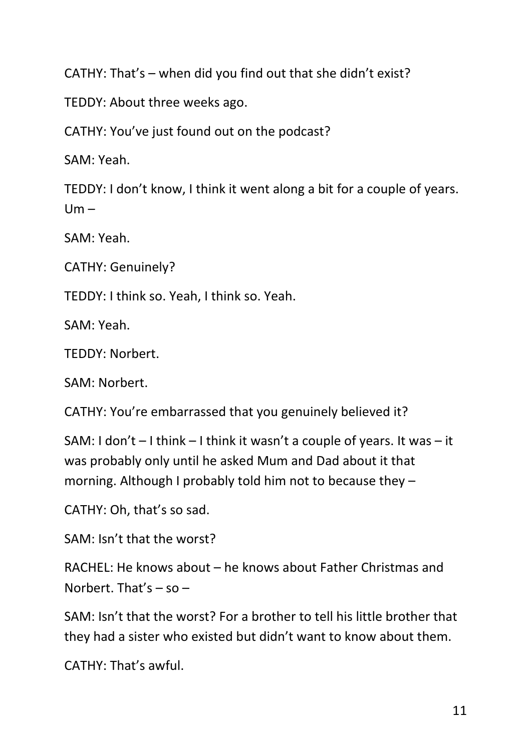CATHY: That's – when did you find out that she didn't exist?

TEDDY: About three weeks ago.

CATHY: You've just found out on the podcast?

SAM: Yeah.

TEDDY: I don't know, I think it went along a bit for a couple of years.  $Um -$ 

SAM: Yeah.

CATHY: Genuinely?

TEDDY: I think so. Yeah, I think so. Yeah.

SAM: Yeah.

TEDDY: Norbert.

SAM: Norbert.

CATHY: You're embarrassed that you genuinely believed it?

SAM: I don't – I think – I think it wasn't a couple of years. It was – it was probably only until he asked Mum and Dad about it that morning. Although I probably told him not to because they –

CATHY: Oh, that's so sad.

SAM: Isn't that the worst?

RACHEL: He knows about – he knows about Father Christmas and Norbert. That's  $-$  so  $-$ 

SAM: Isn't that the worst? For a brother to tell his little brother that they had a sister who existed but didn't want to know about them.

CATHY: That's awful.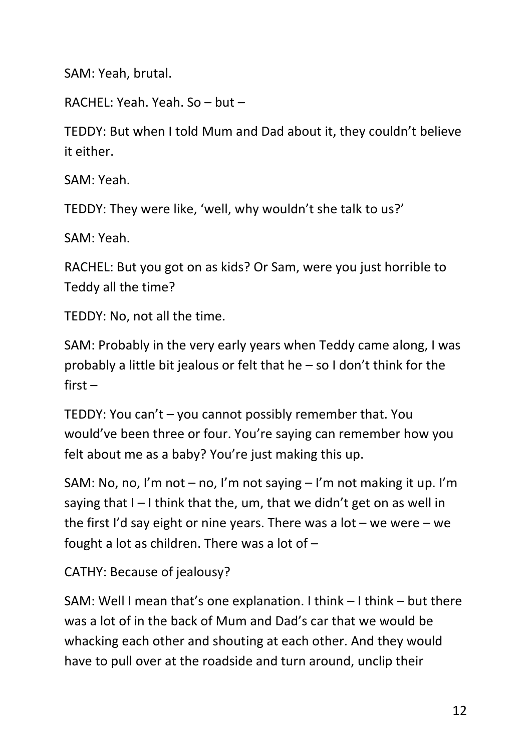SAM: Yeah, brutal.

RACHEL: Yeah. Yeah. So – but –

TEDDY: But when I told Mum and Dad about it, they couldn't believe it either.

SAM: Yeah.

TEDDY: They were like, 'well, why wouldn't she talk to us?'

SAM: Yeah.

RACHEL: But you got on as kids? Or Sam, were you just horrible to Teddy all the time?

TEDDY: No, not all the time.

SAM: Probably in the very early years when Teddy came along, I was probably a little bit jealous or felt that he – so I don't think for the first –

TEDDY: You can't – you cannot possibly remember that. You would've been three or four. You're saying can remember how you felt about me as a baby? You're just making this up.

SAM: No, no, I'm not – no, I'm not saying – I'm not making it up. I'm saying that  $I - I$  think that the, um, that we didn't get on as well in the first I'd say eight or nine years. There was a lot – we were – we fought a lot as children. There was a lot of –

CATHY: Because of jealousy?

SAM: Well I mean that's one explanation. I think – I think – but there was a lot of in the back of Mum and Dad's car that we would be whacking each other and shouting at each other. And they would have to pull over at the roadside and turn around, unclip their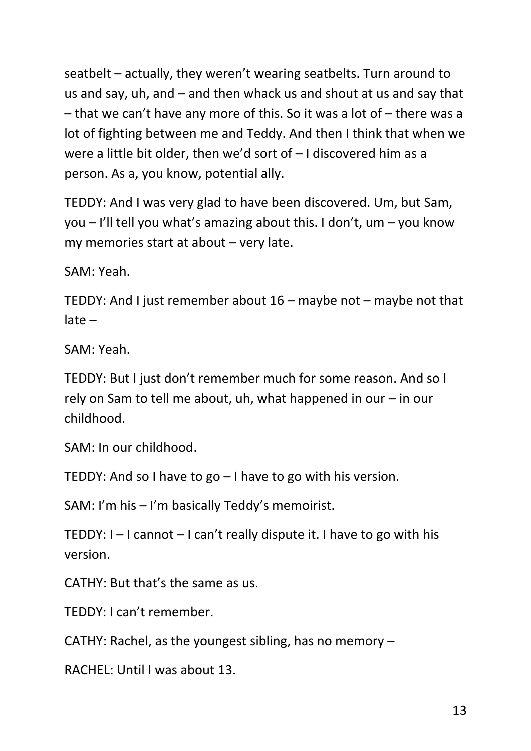seatbelt – actually, they weren't wearing seatbelts. Turn around to us and say, uh, and – and then whack us and shout at us and say that – that we can't have any more of this. So it was a lot of – there was a lot of fighting between me and Teddy. And then I think that when we were a little bit older, then we'd sort of – I discovered him as a person. As a, you know, potential ally.

TEDDY: And I was very glad to have been discovered. Um, but Sam, you – I'll tell you what's amazing about this. I don't, um – you know my memories start at about – very late.

SAM: Yeah.

TEDDY: And I just remember about 16 – maybe not – maybe not that late –

SAM: Yeah.

TEDDY: But I just don't remember much for some reason. And so I rely on Sam to tell me about, uh, what happened in our – in our childhood.

SAM: In our childhood.

TEDDY: And so I have to go – I have to go with his version.

SAM: I'm his – I'm basically Teddy's memoirist.

TEDDY: I – I cannot – I can't really dispute it. I have to go with his version.

CATHY: But that's the same as us.

TEDDY: I can't remember.

CATHY: Rachel, as the youngest sibling, has no memory –

RACHEL: Until I was about 13.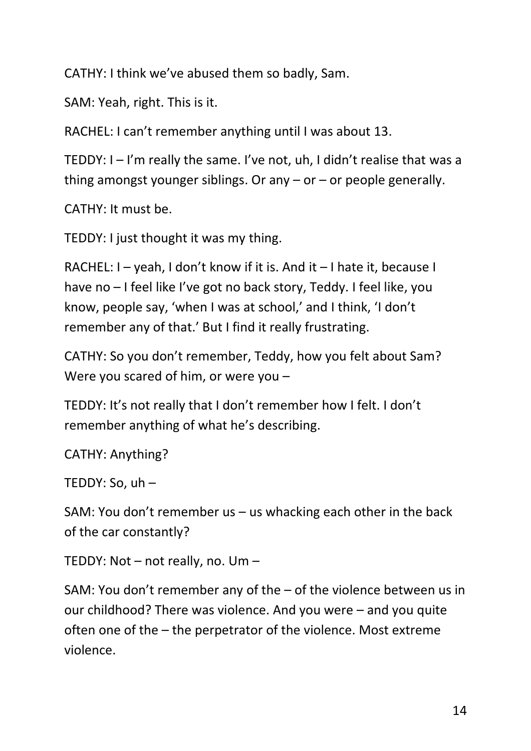CATHY: I think we've abused them so badly, Sam.

SAM: Yeah, right. This is it.

RACHEL: I can't remember anything until I was about 13.

TEDDY: I – I'm really the same. I've not, uh, I didn't realise that was a thing amongst younger siblings. Or any  $-$  or  $-$  or people generally.

CATHY: It must be.

TEDDY: I just thought it was my thing.

RACHEL: I – yeah, I don't know if it is. And it – I hate it, because I have no – I feel like I've got no back story, Teddy. I feel like, you know, people say, 'when I was at school,' and I think, 'I don't remember any of that.' But I find it really frustrating.

CATHY: So you don't remember, Teddy, how you felt about Sam? Were you scared of him, or were you –

TEDDY: It's not really that I don't remember how I felt. I don't remember anything of what he's describing.

CATHY: Anything?

TEDDY: So, uh –

SAM: You don't remember us – us whacking each other in the back of the car constantly?

TEDDY: Not – not really, no. Um –

SAM: You don't remember any of the – of the violence between us in our childhood? There was violence. And you were – and you quite often one of the – the perpetrator of the violence. Most extreme violence.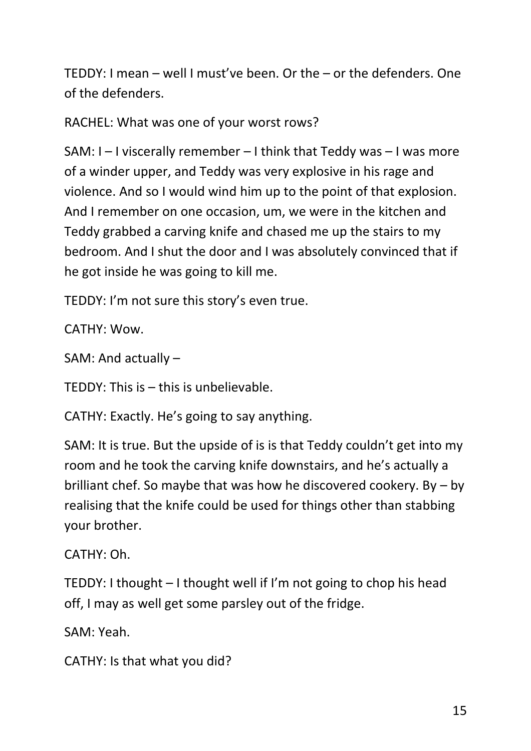TEDDY: I mean – well I must've been. Or the – or the defenders. One of the defenders.

RACHEL: What was one of your worst rows?

SAM: I – I viscerally remember – I think that Teddy was – I was more of a winder upper, and Teddy was very explosive in his rage and violence. And so I would wind him up to the point of that explosion. And I remember on one occasion, um, we were in the kitchen and Teddy grabbed a carving knife and chased me up the stairs to my bedroom. And I shut the door and I was absolutely convinced that if he got inside he was going to kill me.

TEDDY: I'm not sure this story's even true.

CATHY: Wow.

SAM: And actually –

TEDDY: This is – this is unbelievable.

CATHY: Exactly. He's going to say anything.

SAM: It is true. But the upside of is is that Teddy couldn't get into my room and he took the carving knife downstairs, and he's actually a brilliant chef. So maybe that was how he discovered cookery. By – by realising that the knife could be used for things other than stabbing your brother.

CATHY: Oh.

TEDDY: I thought – I thought well if I'm not going to chop his head off, I may as well get some parsley out of the fridge.

SAM: Yeah.

CATHY: Is that what you did?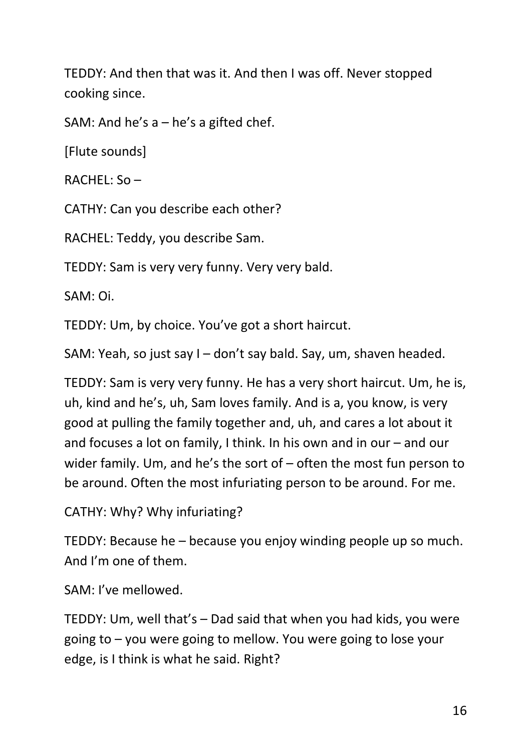TEDDY: And then that was it. And then I was off. Never stopped cooking since.

SAM: And he's a – he's a gifted chef.

[Flute sounds]

 $RACHFI:$  So –

CATHY: Can you describe each other?

RACHEL: Teddy, you describe Sam.

TEDDY: Sam is very very funny. Very very bald.

SAM: Oi.

TEDDY: Um, by choice. You've got a short haircut.

SAM: Yeah, so just say I – don't say bald. Say, um, shaven headed.

TEDDY: Sam is very very funny. He has a very short haircut. Um, he is, uh, kind and he's, uh, Sam loves family. And is a, you know, is very good at pulling the family together and, uh, and cares a lot about it and focuses a lot on family, I think. In his own and in our – and our wider family. Um, and he's the sort of – often the most fun person to be around. Often the most infuriating person to be around. For me.

CATHY: Why? Why infuriating?

TEDDY: Because he – because you enjoy winding people up so much. And I'm one of them.

SAM: I've mellowed.

TEDDY: Um, well that's – Dad said that when you had kids, you were going to – you were going to mellow. You were going to lose your edge, is I think is what he said. Right?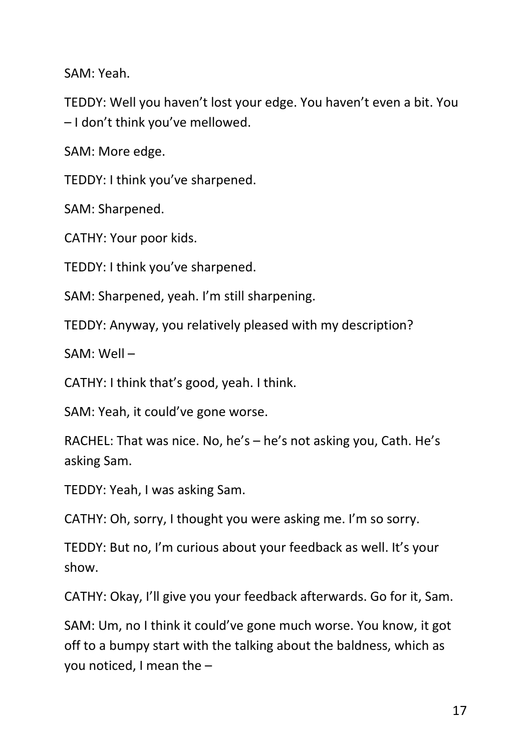SAM: Yeah.

TEDDY: Well you haven't lost your edge. You haven't even a bit. You – I don't think you've mellowed.

SAM: More edge.

TEDDY: I think you've sharpened.

SAM: Sharpened.

CATHY: Your poor kids.

TEDDY: I think you've sharpened.

SAM: Sharpened, yeah. I'm still sharpening.

TEDDY: Anyway, you relatively pleased with my description?

SAM: Well –

CATHY: I think that's good, yeah. I think.

SAM: Yeah, it could've gone worse.

RACHEL: That was nice. No, he's – he's not asking you, Cath. He's asking Sam.

TEDDY: Yeah, I was asking Sam.

CATHY: Oh, sorry, I thought you were asking me. I'm so sorry.

TEDDY: But no, I'm curious about your feedback as well. It's your show.

CATHY: Okay, I'll give you your feedback afterwards. Go for it, Sam.

SAM: Um, no I think it could've gone much worse. You know, it got off to a bumpy start with the talking about the baldness, which as you noticed, I mean the –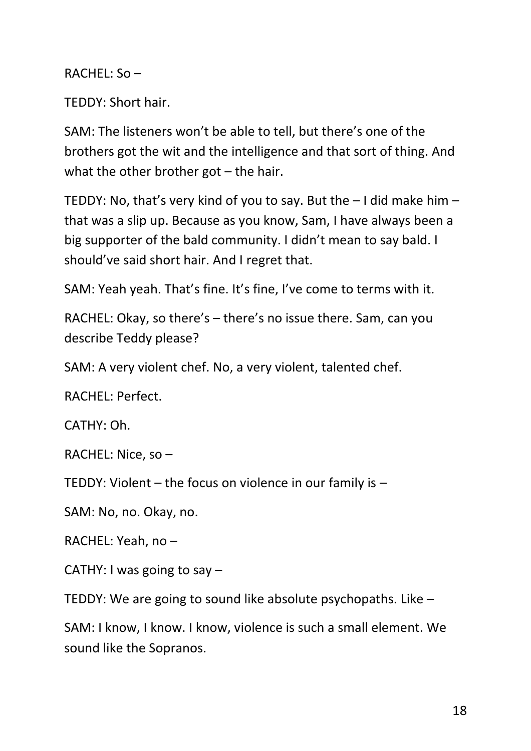$RACHFL:$  So –

TEDDY: Short hair.

SAM: The listeners won't be able to tell, but there's one of the brothers got the wit and the intelligence and that sort of thing. And what the other brother got – the hair.

TEDDY: No, that's very kind of you to say. But the – I did make him – that was a slip up. Because as you know, Sam, I have always been a big supporter of the bald community. I didn't mean to say bald. I should've said short hair. And I regret that.

SAM: Yeah yeah. That's fine. It's fine, I've come to terms with it.

RACHEL: Okay, so there's – there's no issue there. Sam, can you describe Teddy please?

SAM: A very violent chef. No, a very violent, talented chef.

RACHEL: Perfect.

CATHY: Oh.

RACHEL: Nice, so –

TEDDY: Violent – the focus on violence in our family is –

SAM: No, no. Okay, no.

RACHEL: Yeah, no –

CATHY: I was going to say –

TEDDY: We are going to sound like absolute psychopaths. Like –

SAM: I know, I know. I know, violence is such a small element. We sound like the Sopranos.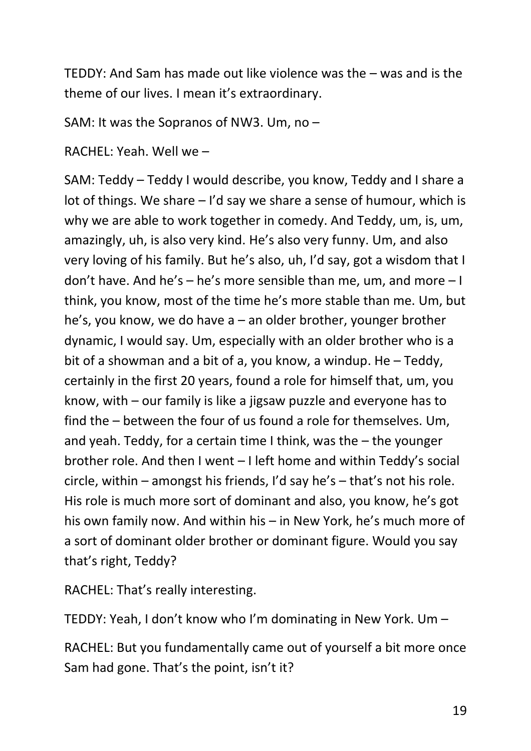TEDDY: And Sam has made out like violence was the – was and is the theme of our lives. I mean it's extraordinary.

SAM: It was the Sopranos of NW3. Um, no –

RACHEL: Yeah. Well we –

SAM: Teddy – Teddy I would describe, you know, Teddy and I share a lot of things. We share – I'd say we share a sense of humour, which is why we are able to work together in comedy. And Teddy, um, is, um, amazingly, uh, is also very kind. He's also very funny. Um, and also very loving of his family. But he's also, uh, I'd say, got a wisdom that I don't have. And he's – he's more sensible than me, um, and more – I think, you know, most of the time he's more stable than me. Um, but he's, you know, we do have a – an older brother, younger brother dynamic, I would say. Um, especially with an older brother who is a bit of a showman and a bit of a, you know, a windup. He – Teddy, certainly in the first 20 years, found a role for himself that, um, you know, with – our family is like a jigsaw puzzle and everyone has to find the – between the four of us found a role for themselves. Um, and yeah. Teddy, for a certain time I think, was the – the younger brother role. And then I went – I left home and within Teddy's social circle, within – amongst his friends, I'd say he's – that's not his role. His role is much more sort of dominant and also, you know, he's got his own family now. And within his – in New York, he's much more of a sort of dominant older brother or dominant figure. Would you say that's right, Teddy?

RACHEL: That's really interesting.

TEDDY: Yeah, I don't know who I'm dominating in New York. Um –

RACHEL: But you fundamentally came out of yourself a bit more once Sam had gone. That's the point, isn't it?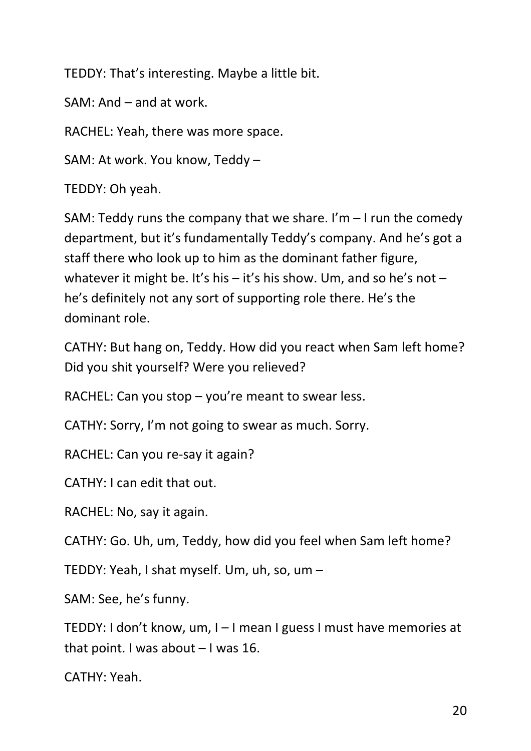TEDDY: That's interesting. Maybe a little bit.

SAM: And – and at work.

RACHEL: Yeah, there was more space.

SAM: At work. You know, Teddy –

TEDDY: Oh yeah.

SAM: Teddy runs the company that we share. I'm  $-1$  run the comedy department, but it's fundamentally Teddy's company. And he's got a staff there who look up to him as the dominant father figure, whatever it might be. It's his – it's his show. Um, and so he's not – he's definitely not any sort of supporting role there. He's the dominant role.

CATHY: But hang on, Teddy. How did you react when Sam left home? Did you shit yourself? Were you relieved?

RACHEL: Can you stop – you're meant to swear less.

CATHY: Sorry, I'm not going to swear as much. Sorry.

RACHEL: Can you re-say it again?

CATHY: I can edit that out.

RACHEL: No, say it again.

CATHY: Go. Uh, um, Teddy, how did you feel when Sam left home?

TEDDY: Yeah, I shat myself. Um, uh, so, um –

SAM: See, he's funny.

TEDDY: I don't know, um, I – I mean I guess I must have memories at that point. I was about – I was 16.

CATHY: Yeah.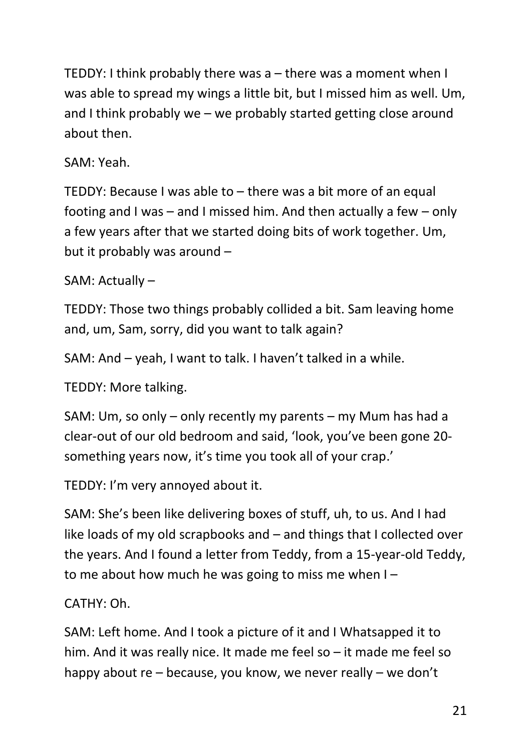TEDDY: I think probably there was a – there was a moment when I was able to spread my wings a little bit, but I missed him as well. Um, and I think probably we – we probably started getting close around about then.

SAM: Yeah.

TEDDY: Because I was able to – there was a bit more of an equal footing and I was – and I missed him. And then actually a few – only a few years after that we started doing bits of work together. Um, but it probably was around –

SAM: Actually –

TEDDY: Those two things probably collided a bit. Sam leaving home and, um, Sam, sorry, did you want to talk again?

SAM: And – yeah, I want to talk. I haven't talked in a while.

TEDDY: More talking.

SAM: Um, so only – only recently my parents – my Mum has had a clear-out of our old bedroom and said, 'look, you've been gone 20 something years now, it's time you took all of your crap.'

TEDDY: I'm very annoyed about it.

SAM: She's been like delivering boxes of stuff, uh, to us. And I had like loads of my old scrapbooks and – and things that I collected over the years. And I found a letter from Teddy, from a 15-year-old Teddy, to me about how much he was going to miss me when I –

CATHY: Oh.

SAM: Left home. And I took a picture of it and I Whatsapped it to him. And it was really nice. It made me feel so – it made me feel so happy about re – because, you know, we never really – we don't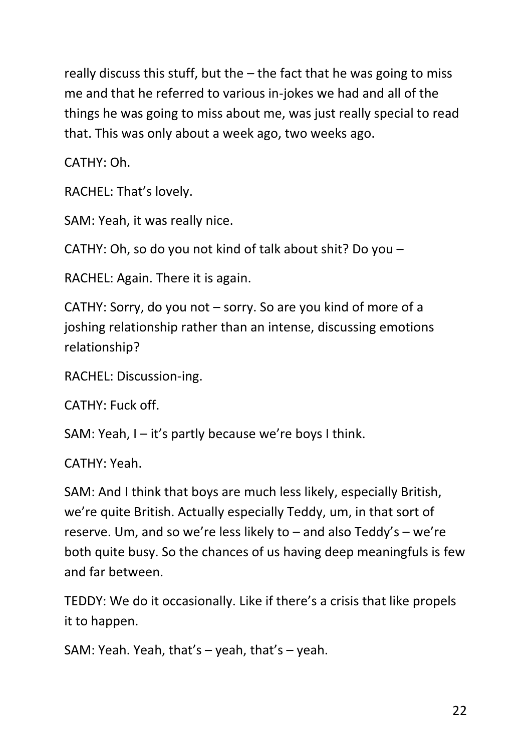really discuss this stuff, but the  $-$  the fact that he was going to miss me and that he referred to various in-jokes we had and all of the things he was going to miss about me, was just really special to read that. This was only about a week ago, two weeks ago.

CATHY: Oh.

RACHEL: That's lovely.

SAM: Yeah, it was really nice.

CATHY: Oh, so do you not kind of talk about shit? Do you –

RACHEL: Again. There it is again.

CATHY: Sorry, do you not – sorry. So are you kind of more of a joshing relationship rather than an intense, discussing emotions relationship?

RACHEL: Discussion-ing.

CATHY: Fuck off.

SAM: Yeah, I – it's partly because we're boys I think.

CATHY: Yeah.

SAM: And I think that boys are much less likely, especially British, we're quite British. Actually especially Teddy, um, in that sort of reserve. Um, and so we're less likely to – and also Teddy's – we're both quite busy. So the chances of us having deep meaningfuls is few and far between.

TEDDY: We do it occasionally. Like if there's a crisis that like propels it to happen.

SAM: Yeah. Yeah, that's – yeah, that's – yeah.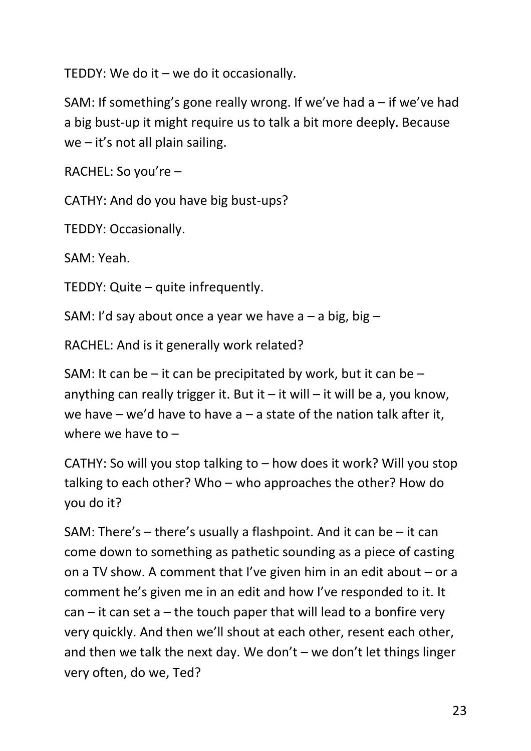TEDDY: We do it – we do it occasionally.

SAM: If something's gone really wrong. If we've had  $a - if$  we've had a big bust-up it might require us to talk a bit more deeply. Because we – it's not all plain sailing.

RACHEL: So you're –

CATHY: And do you have big bust-ups?

TEDDY: Occasionally.

SAM: Yeah.

TEDDY: Quite – quite infrequently.

SAM: I'd say about once a year we have  $a - a$  big, big  $-$ 

RACHEL: And is it generally work related?

SAM: It can be – it can be precipitated by work, but it can be – anything can really trigger it. But it  $-$  it will  $-$  it will be a, you know, we have – we'd have to have  $a - a$  state of the nation talk after it, where we have to –

CATHY: So will you stop talking to – how does it work? Will you stop talking to each other? Who – who approaches the other? How do you do it?

SAM: There's – there's usually a flashpoint. And it can be – it can come down to something as pathetic sounding as a piece of casting on a TV show. A comment that I've given him in an edit about – or a comment he's given me in an edit and how I've responded to it. It  $can - it can set a - the touch paper that will lead to a bonfire very$ very quickly. And then we'll shout at each other, resent each other, and then we talk the next day. We don't – we don't let things linger very often, do we, Ted?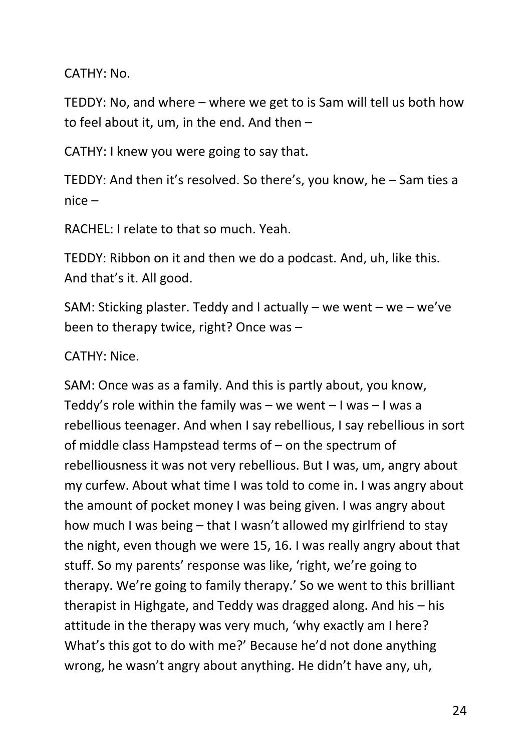CATHY: No.

TEDDY: No, and where – where we get to is Sam will tell us both how to feel about it, um, in the end. And then –

CATHY: I knew you were going to say that.

TEDDY: And then it's resolved. So there's, you know, he – Sam ties a nice –

RACHEL: I relate to that so much. Yeah.

TEDDY: Ribbon on it and then we do a podcast. And, uh, like this. And that's it. All good.

SAM: Sticking plaster. Teddy and I actually – we went – we – we've been to therapy twice, right? Once was –

CATHY: Nice.

SAM: Once was as a family. And this is partly about, you know, Teddy's role within the family was – we went  $-1$  was – I was a rebellious teenager. And when I say rebellious, I say rebellious in sort of middle class Hampstead terms of – on the spectrum of rebelliousness it was not very rebellious. But I was, um, angry about my curfew. About what time I was told to come in. I was angry about the amount of pocket money I was being given. I was angry about how much I was being – that I wasn't allowed my girlfriend to stay the night, even though we were 15, 16. I was really angry about that stuff. So my parents' response was like, 'right, we're going to therapy. We're going to family therapy.' So we went to this brilliant therapist in Highgate, and Teddy was dragged along. And his – his attitude in the therapy was very much, 'why exactly am I here? What's this got to do with me?' Because he'd not done anything wrong, he wasn't angry about anything. He didn't have any, uh,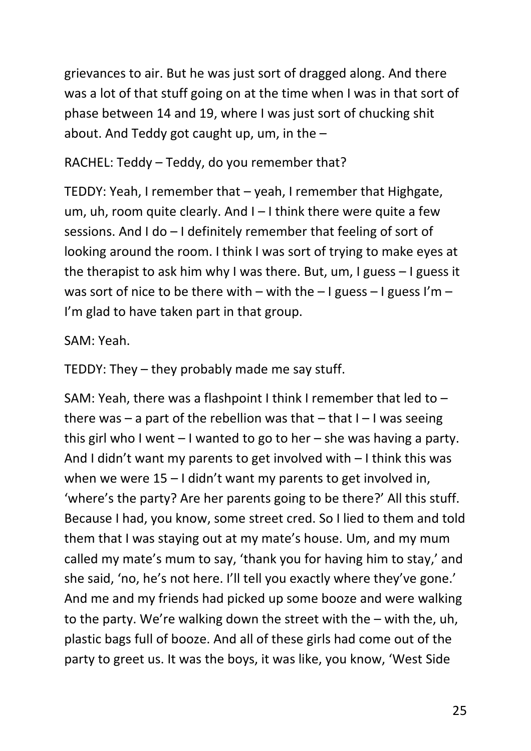grievances to air. But he was just sort of dragged along. And there was a lot of that stuff going on at the time when I was in that sort of phase between 14 and 19, where I was just sort of chucking shit about. And Teddy got caught up, um, in the –

RACHEL: Teddy – Teddy, do you remember that?

TEDDY: Yeah, I remember that – yeah, I remember that Highgate, um, uh, room quite clearly. And I – I think there were quite a few sessions. And I do – I definitely remember that feeling of sort of looking around the room. I think I was sort of trying to make eyes at the therapist to ask him why I was there. But, um, I guess – I guess it was sort of nice to be there with – with the – I guess – I guess I'm – I'm glad to have taken part in that group.

## SAM: Yeah.

TEDDY: They – they probably made me say stuff.

SAM: Yeah, there was a flashpoint I think I remember that led to – there was – a part of the rebellion was that – that  $I - I$  was seeing this girl who I went – I wanted to go to her – she was having a party. And I didn't want my parents to get involved with – I think this was when we were  $15 - 1$  didn't want my parents to get involved in, 'where's the party? Are her parents going to be there?' All this stuff. Because I had, you know, some street cred. So I lied to them and told them that I was staying out at my mate's house. Um, and my mum called my mate's mum to say, 'thank you for having him to stay,' and she said, 'no, he's not here. I'll tell you exactly where they've gone.' And me and my friends had picked up some booze and were walking to the party. We're walking down the street with the – with the, uh, plastic bags full of booze. And all of these girls had come out of the party to greet us. It was the boys, it was like, you know, 'West Side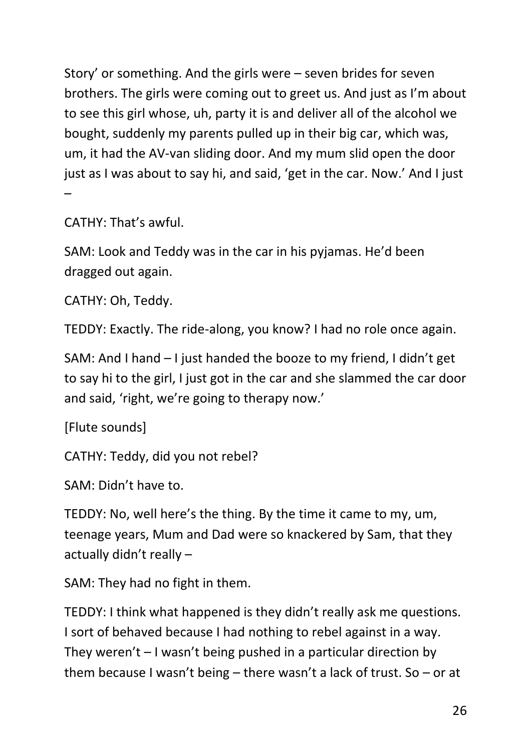Story' or something. And the girls were – seven brides for seven brothers. The girls were coming out to greet us. And just as I'm about to see this girl whose, uh, party it is and deliver all of the alcohol we bought, suddenly my parents pulled up in their big car, which was, um, it had the AV-van sliding door. And my mum slid open the door just as I was about to say hi, and said, 'get in the car. Now.' And I just –

CATHY: That's awful.

SAM: Look and Teddy was in the car in his pyjamas. He'd been dragged out again.

CATHY: Oh, Teddy.

TEDDY: Exactly. The ride-along, you know? I had no role once again.

SAM: And I hand – I just handed the booze to my friend, I didn't get to say hi to the girl, I just got in the car and she slammed the car door and said, 'right, we're going to therapy now.'

[Flute sounds]

CATHY: Teddy, did you not rebel?

SAM: Didn't have to.

TEDDY: No, well here's the thing. By the time it came to my, um, teenage years, Mum and Dad were so knackered by Sam, that they actually didn't really –

SAM: They had no fight in them.

TEDDY: I think what happened is they didn't really ask me questions. I sort of behaved because I had nothing to rebel against in a way. They weren't – I wasn't being pushed in a particular direction by them because I wasn't being – there wasn't a lack of trust. So – or at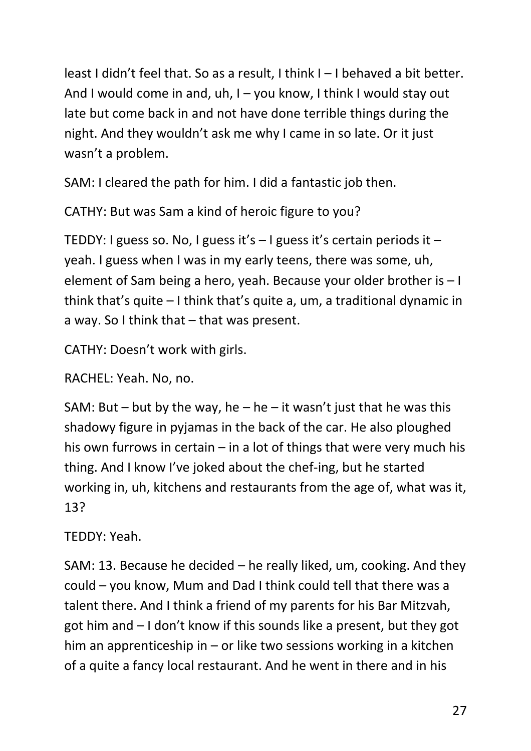least I didn't feel that. So as a result, I think I – I behaved a bit better. And I would come in and, uh, I – you know, I think I would stay out late but come back in and not have done terrible things during the night. And they wouldn't ask me why I came in so late. Or it just wasn't a problem.

SAM: I cleared the path for him. I did a fantastic job then.

CATHY: But was Sam a kind of heroic figure to you?

TEDDY: I guess so. No, I guess it's  $-$  I guess it's certain periods it  $$ yeah. I guess when I was in my early teens, there was some, uh, element of Sam being a hero, yeah. Because your older brother is – I think that's quite – I think that's quite a, um, a traditional dynamic in a way. So I think that – that was present.

CATHY: Doesn't work with girls.

RACHEL: Yeah. No, no.

SAM: But – but by the way, he – he – it wasn't just that he was this shadowy figure in pyjamas in the back of the car. He also ploughed his own furrows in certain – in a lot of things that were very much his thing. And I know I've joked about the chef-ing, but he started working in, uh, kitchens and restaurants from the age of, what was it, 13?

TEDDY: Yeah.

SAM: 13. Because he decided – he really liked, um, cooking. And they could – you know, Mum and Dad I think could tell that there was a talent there. And I think a friend of my parents for his Bar Mitzvah, got him and – I don't know if this sounds like a present, but they got him an apprenticeship in – or like two sessions working in a kitchen of a quite a fancy local restaurant. And he went in there and in his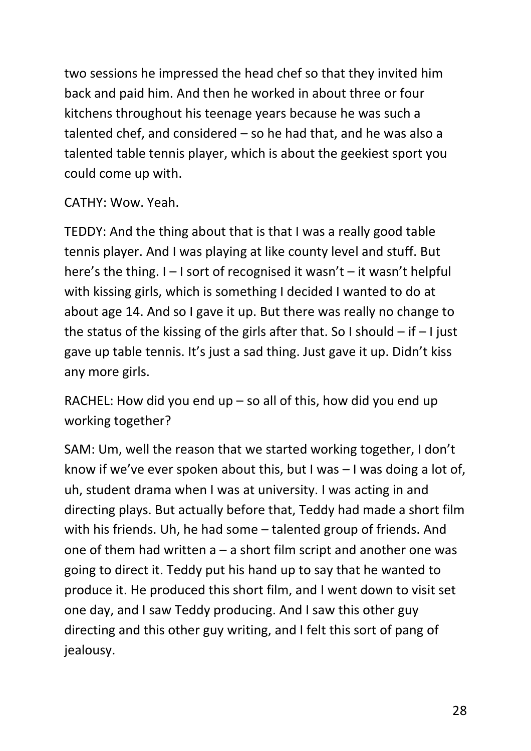two sessions he impressed the head chef so that they invited him back and paid him. And then he worked in about three or four kitchens throughout his teenage years because he was such a talented chef, and considered – so he had that, and he was also a talented table tennis player, which is about the geekiest sport you could come up with.

CATHY: Wow. Yeah.

TEDDY: And the thing about that is that I was a really good table tennis player. And I was playing at like county level and stuff. But here's the thing.  $I - I$  sort of recognised it wasn't – it wasn't helpful with kissing girls, which is something I decided I wanted to do at about age 14. And so I gave it up. But there was really no change to the status of the kissing of the girls after that. So I should  $-$  if  $-1$  just gave up table tennis. It's just a sad thing. Just gave it up. Didn't kiss any more girls.

RACHEL: How did you end up – so all of this, how did you end up working together?

SAM: Um, well the reason that we started working together, I don't know if we've ever spoken about this, but I was – I was doing a lot of, uh, student drama when I was at university. I was acting in and directing plays. But actually before that, Teddy had made a short film with his friends. Uh, he had some – talented group of friends. And one of them had written  $a - a$  short film script and another one was going to direct it. Teddy put his hand up to say that he wanted to produce it. He produced this short film, and I went down to visit set one day, and I saw Teddy producing. And I saw this other guy directing and this other guy writing, and I felt this sort of pang of jealousy.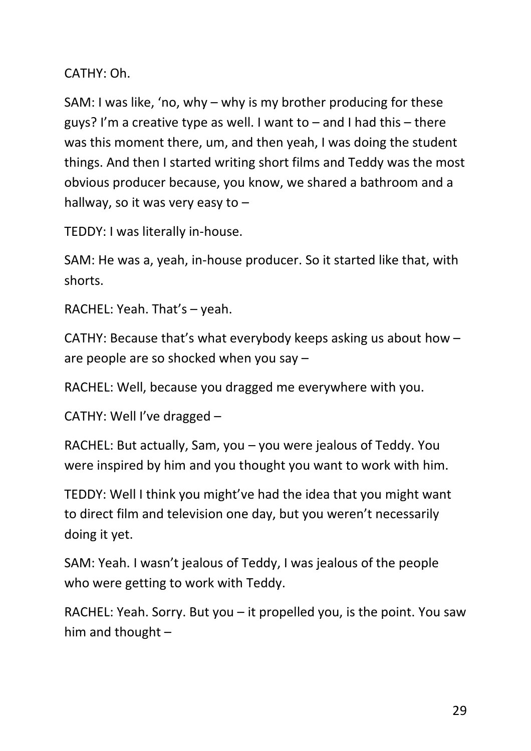CATHY: Oh.

SAM: I was like, 'no, why – why is my brother producing for these guys? I'm a creative type as well. I want to  $-$  and I had this  $-$  there was this moment there, um, and then yeah, I was doing the student things. And then I started writing short films and Teddy was the most obvious producer because, you know, we shared a bathroom and a hallway, so it was very easy to  $-$ 

TEDDY: I was literally in-house.

SAM: He was a, yeah, in-house producer. So it started like that, with shorts.

RACHEL: Yeah. That's – yeah.

CATHY: Because that's what everybody keeps asking us about how – are people are so shocked when you say –

RACHEL: Well, because you dragged me everywhere with you.

CATHY: Well I've dragged –

RACHEL: But actually, Sam, you – you were jealous of Teddy. You were inspired by him and you thought you want to work with him.

TEDDY: Well I think you might've had the idea that you might want to direct film and television one day, but you weren't necessarily doing it yet.

SAM: Yeah. I wasn't jealous of Teddy, I was jealous of the people who were getting to work with Teddy.

RACHEL: Yeah. Sorry. But you – it propelled you, is the point. You saw him and thought –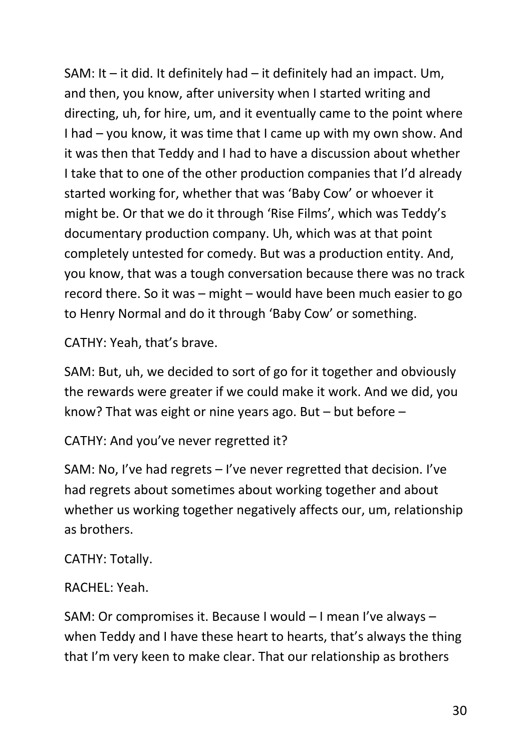SAM: It – it did. It definitely had – it definitely had an impact. Um, and then, you know, after university when I started writing and directing, uh, for hire, um, and it eventually came to the point where I had – you know, it was time that I came up with my own show. And it was then that Teddy and I had to have a discussion about whether I take that to one of the other production companies that I'd already started working for, whether that was 'Baby Cow' or whoever it might be. Or that we do it through 'Rise Films', which was Teddy's documentary production company. Uh, which was at that point completely untested for comedy. But was a production entity. And, you know, that was a tough conversation because there was no track record there. So it was – might – would have been much easier to go to Henry Normal and do it through 'Baby Cow' or something.

CATHY: Yeah, that's brave.

SAM: But, uh, we decided to sort of go for it together and obviously the rewards were greater if we could make it work. And we did, you know? That was eight or nine years ago. But – but before –

CATHY: And you've never regretted it?

SAM: No, I've had regrets – I've never regretted that decision. I've had regrets about sometimes about working together and about whether us working together negatively affects our, um, relationship as brothers.

### CATHY: Totally.

### RACHEL: Yeah.

SAM: Or compromises it. Because I would – I mean I've always – when Teddy and I have these heart to hearts, that's always the thing that I'm very keen to make clear. That our relationship as brothers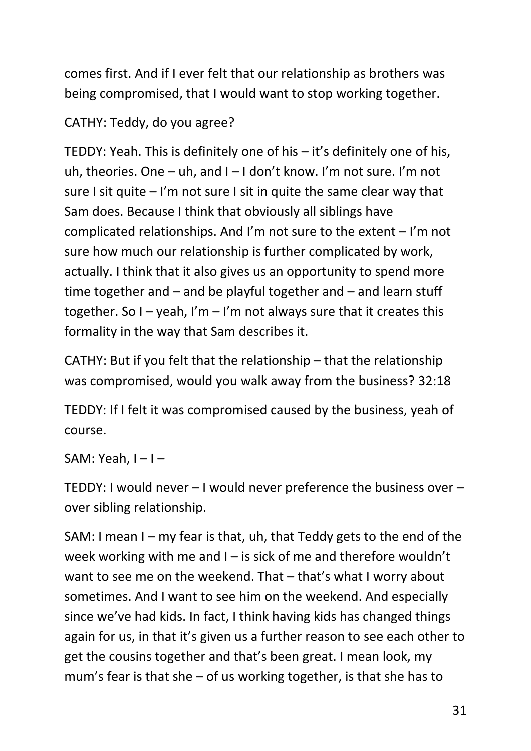comes first. And if I ever felt that our relationship as brothers was being compromised, that I would want to stop working together.

CATHY: Teddy, do you agree?

TEDDY: Yeah. This is definitely one of his – it's definitely one of his, uh, theories. One – uh, and I – I don't know. I'm not sure. I'm not sure I sit quite – I'm not sure I sit in quite the same clear way that Sam does. Because I think that obviously all siblings have complicated relationships. And I'm not sure to the extent – I'm not sure how much our relationship is further complicated by work, actually. I think that it also gives us an opportunity to spend more time together and – and be playful together and – and learn stuff together. So I – yeah, I'm – I'm not always sure that it creates this formality in the way that Sam describes it.

CATHY: But if you felt that the relationship – that the relationship was compromised, would you walk away from the business? 32:18

TEDDY: If I felt it was compromised caused by the business, yeah of course.

SAM: Yeah,  $I - I -$ 

TEDDY: I would never – I would never preference the business over – over sibling relationship.

SAM: I mean I – my fear is that, uh, that Teddy gets to the end of the week working with me and  $I -$  is sick of me and therefore wouldn't want to see me on the weekend. That – that's what I worry about sometimes. And I want to see him on the weekend. And especially since we've had kids. In fact, I think having kids has changed things again for us, in that it's given us a further reason to see each other to get the cousins together and that's been great. I mean look, my mum's fear is that she – of us working together, is that she has to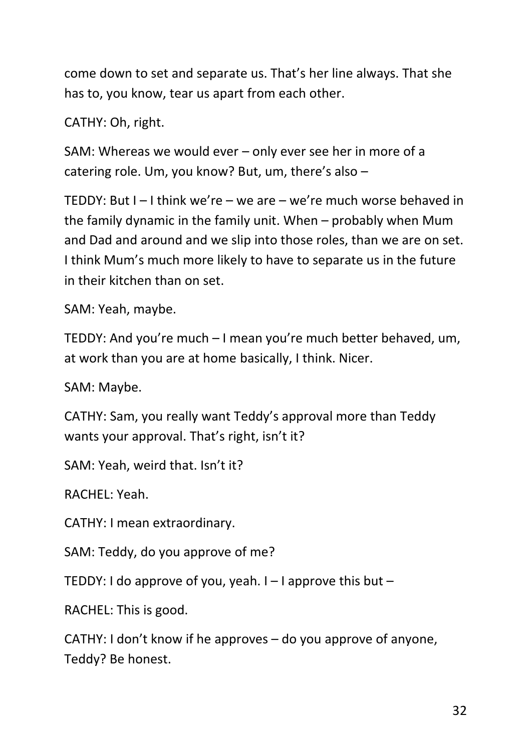come down to set and separate us. That's her line always. That she has to, you know, tear us apart from each other.

## CATHY: Oh, right.

SAM: Whereas we would ever – only ever see her in more of a catering role. Um, you know? But, um, there's also –

TEDDY: But I – I think we're – we are – we're much worse behaved in the family dynamic in the family unit. When – probably when Mum and Dad and around and we slip into those roles, than we are on set. I think Mum's much more likely to have to separate us in the future in their kitchen than on set.

SAM: Yeah, maybe.

TEDDY: And you're much – I mean you're much better behaved, um, at work than you are at home basically, I think. Nicer.

SAM: Maybe.

CATHY: Sam, you really want Teddy's approval more than Teddy wants your approval. That's right, isn't it?

SAM: Yeah, weird that. Isn't it?

RACHEL: Yeah.

CATHY: I mean extraordinary.

SAM: Teddy, do you approve of me?

TEDDY: I do approve of you, yeah.  $I - I$  approve this but  $- I$ 

RACHEL: This is good.

CATHY: I don't know if he approves – do you approve of anyone, Teddy? Be honest.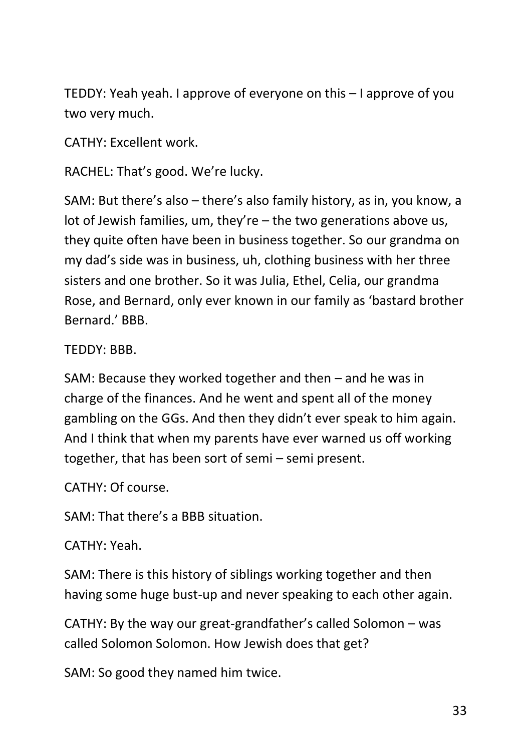TEDDY: Yeah yeah. I approve of everyone on this – I approve of you two very much.

CATHY: Excellent work.

RACHEL: That's good. We're lucky.

SAM: But there's also – there's also family history, as in, you know, a lot of Jewish families, um, they're – the two generations above us, they quite often have been in business together. So our grandma on my dad's side was in business, uh, clothing business with her three sisters and one brother. So it was Julia, Ethel, Celia, our grandma Rose, and Bernard, only ever known in our family as 'bastard brother Bernard.' BBB.

TEDDY: BBB.

SAM: Because they worked together and then – and he was in charge of the finances. And he went and spent all of the money gambling on the GGs. And then they didn't ever speak to him again. And I think that when my parents have ever warned us off working together, that has been sort of semi – semi present.

CATHY: Of course.

SAM: That there's a BBB situation.

CATHY: Yeah.

SAM: There is this history of siblings working together and then having some huge bust-up and never speaking to each other again.

CATHY: By the way our great-grandfather's called Solomon – was called Solomon Solomon. How Jewish does that get?

SAM: So good they named him twice.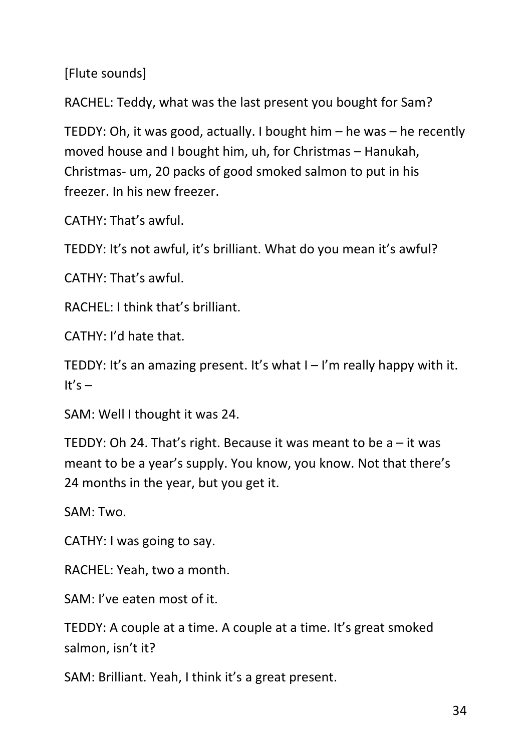[Flute sounds]

RACHEL: Teddy, what was the last present you bought for Sam?

TEDDY: Oh, it was good, actually. I bought him – he was – he recently moved house and I bought him, uh, for Christmas – Hanukah, Christmas- um, 20 packs of good smoked salmon to put in his freezer. In his new freezer.

CATHY: That's awful.

TEDDY: It's not awful, it's brilliant. What do you mean it's awful?

CATHY: That's awful.

RACHEL: I think that's brilliant.

CATHY: I'd hate that.

TEDDY: It's an amazing present. It's what  $I - I'm$  really happy with it. It's  $-$ 

SAM: Well I thought it was 24.

TEDDY: Oh 24. That's right. Because it was meant to be a – it was meant to be a year's supply. You know, you know. Not that there's 24 months in the year, but you get it.

SAM: Two.

CATHY: I was going to say.

RACHEL: Yeah, two a month.

SAM: I've eaten most of it.

TEDDY: A couple at a time. A couple at a time. It's great smoked salmon, isn't it?

SAM: Brilliant. Yeah, I think it's a great present.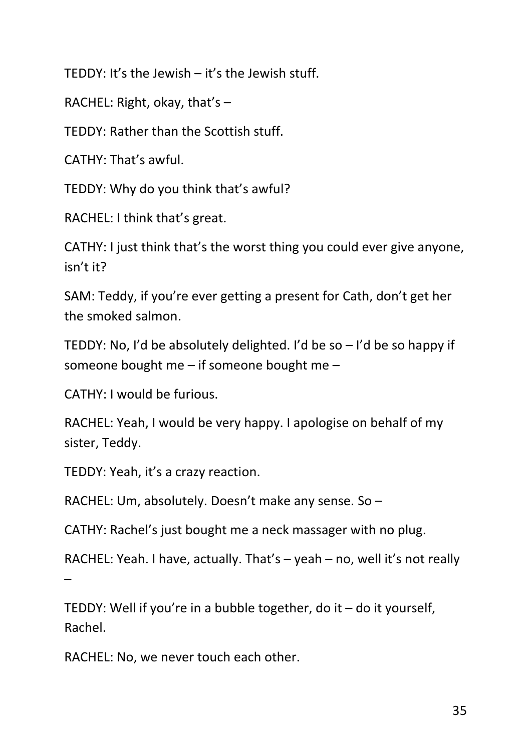TEDDY: It's the Jewish – it's the Jewish stuff.

RACHEL: Right, okay, that's  $-$ 

TEDDY: Rather than the Scottish stuff.

CATHY: That's awful.

TEDDY: Why do you think that's awful?

RACHEL: I think that's great.

CATHY: I just think that's the worst thing you could ever give anyone, isn't it?

SAM: Teddy, if you're ever getting a present for Cath, don't get her the smoked salmon.

TEDDY: No, I'd be absolutely delighted. I'd be so – I'd be so happy if someone bought me – if someone bought me –

CATHY: I would be furious.

RACHEL: Yeah, I would be very happy. I apologise on behalf of my sister, Teddy.

TEDDY: Yeah, it's a crazy reaction.

RACHEL: Um, absolutely. Doesn't make any sense. So –

CATHY: Rachel's just bought me a neck massager with no plug.

RACHEL: Yeah. I have, actually. That's – yeah – no, well it's not really –

TEDDY: Well if you're in a bubble together, do it  $-$  do it yourself, Rachel.

RACHEL: No, we never touch each other.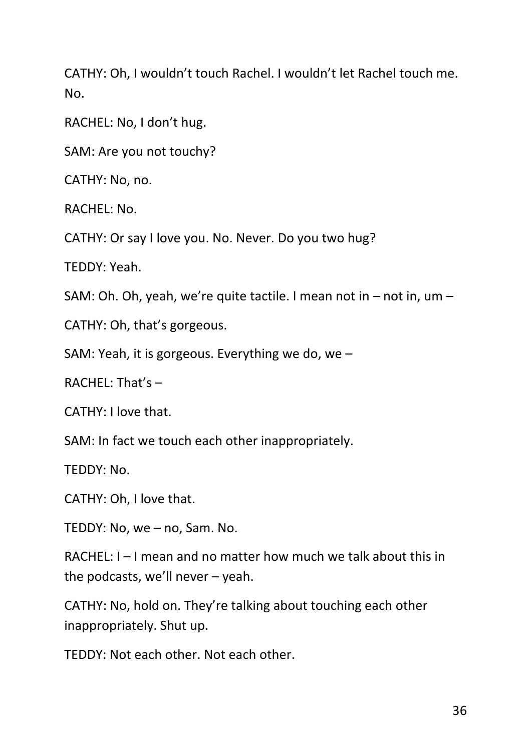CATHY: Oh, I wouldn't touch Rachel. I wouldn't let Rachel touch me. No.

RACHEL: No, I don't hug.

SAM: Are you not touchy?

CATHY: No, no.

RACHEL: No.

CATHY: Or say I love you. No. Never. Do you two hug?

TEDDY: Yeah.

SAM: Oh. Oh, yeah, we're quite tactile. I mean not in – not in, um –

CATHY: Oh, that's gorgeous.

SAM: Yeah, it is gorgeous. Everything we do, we –

RACHEL: That's –

CATHY: I love that.

SAM: In fact we touch each other inappropriately.

TEDDY: No.

CATHY: Oh, I love that.

TEDDY: No, we – no, Sam. No.

RACHEL: I – I mean and no matter how much we talk about this in the podcasts, we'll never – yeah.

CATHY: No, hold on. They're talking about touching each other inappropriately. Shut up.

TEDDY: Not each other. Not each other.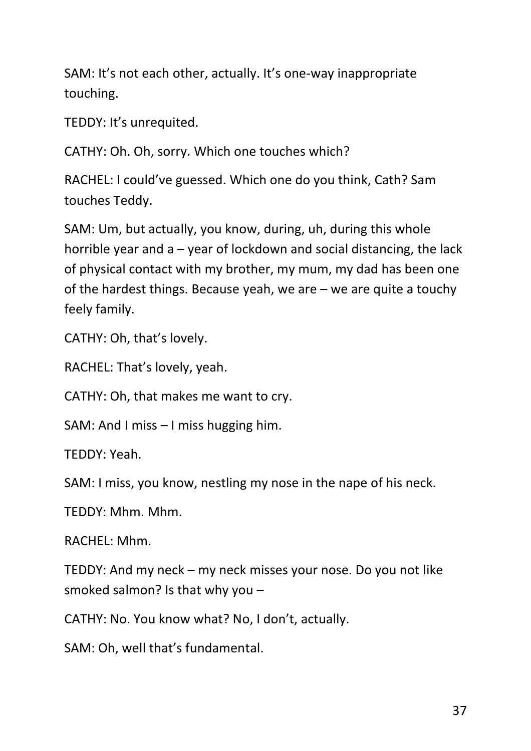SAM: It's not each other, actually. It's one-way inappropriate touching.

TEDDY: It's unrequited.

CATHY: Oh. Oh, sorry. Which one touches which?

RACHEL: I could've guessed. Which one do you think, Cath? Sam touches Teddy.

SAM: Um, but actually, you know, during, uh, during this whole horrible year and a – year of lockdown and social distancing, the lack of physical contact with my brother, my mum, my dad has been one of the hardest things. Because yeah, we are – we are quite a touchy feely family.

CATHY: Oh, that's lovely.

RACHEL: That's lovely, yeah.

CATHY: Oh, that makes me want to cry.

SAM: And I miss – I miss hugging him.

TEDDY: Yeah.

SAM: I miss, you know, nestling my nose in the nape of his neck.

TEDDY: Mhm. Mhm.

RACHEL: Mhm.

TEDDY: And my neck – my neck misses your nose. Do you not like smoked salmon? Is that why you –

CATHY: No. You know what? No, I don't, actually.

SAM: Oh, well that's fundamental.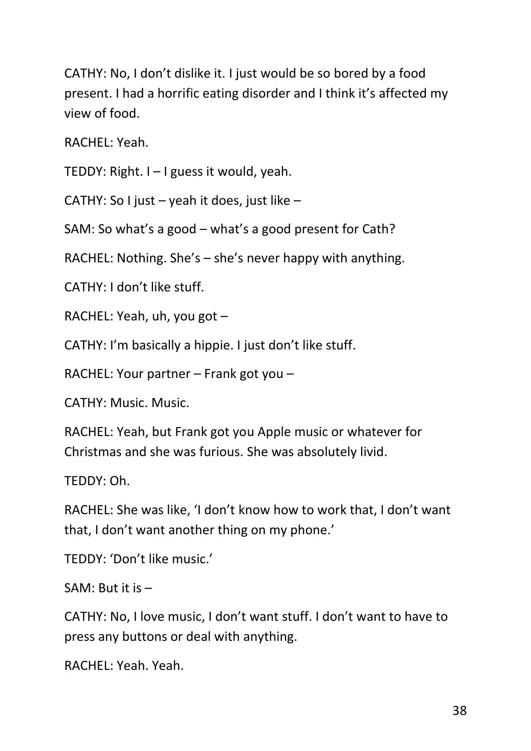CATHY: No, I don't dislike it. I just would be so bored by a food present. I had a horrific eating disorder and I think it's affected my view of food.

RACHEL: Yeah.

TEDDY: Right. I – I guess it would, yeah.

CATHY: So I just – yeah it does, just like –

SAM: So what's a good – what's a good present for Cath?

RACHEL: Nothing. She's – she's never happy with anything.

CATHY: I don't like stuff.

RACHEL: Yeah, uh, you got –

CATHY: I'm basically a hippie. I just don't like stuff.

RACHEL: Your partner – Frank got you –

CATHY: Music. Music.

RACHEL: Yeah, but Frank got you Apple music or whatever for Christmas and she was furious. She was absolutely livid.

TEDDY: Oh.

RACHEL: She was like, 'I don't know how to work that, I don't want that, I don't want another thing on my phone.'

TEDDY: 'Don't like music.'

SAM: But it is –

CATHY: No, I love music, I don't want stuff. I don't want to have to press any buttons or deal with anything.

RACHEL: Yeah. Yeah.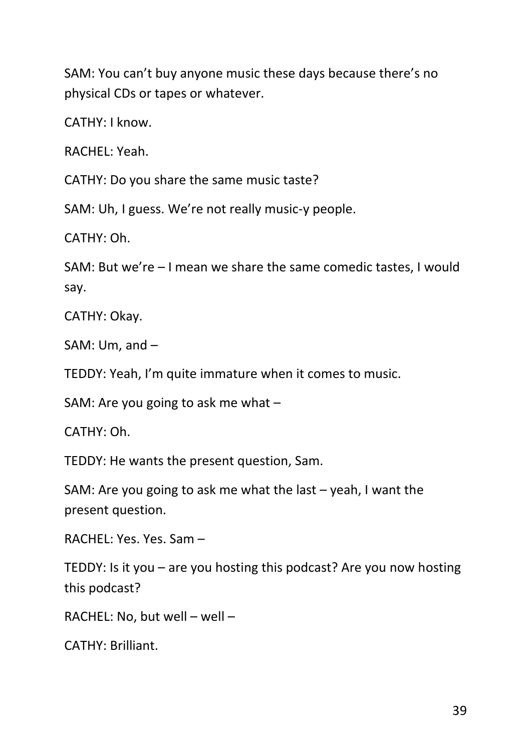SAM: You can't buy anyone music these days because there's no physical CDs or tapes or whatever.

CATHY: I know.

RACHEL: Yeah.

CATHY: Do you share the same music taste?

SAM: Uh, I guess. We're not really music-y people.

CATHY: Oh.

SAM: But we're – I mean we share the same comedic tastes, I would say.

CATHY: Okay.

SAM: Um, and –

TEDDY: Yeah, I'm quite immature when it comes to music.

SAM: Are you going to ask me what –

CATHY: Oh.

TEDDY: He wants the present question, Sam.

SAM: Are you going to ask me what the last – yeah, I want the present question.

RACHEL: Yes. Yes. Sam –

TEDDY: Is it you – are you hosting this podcast? Are you now hosting this podcast?

RACHEL: No, but well – well –

CATHY: Brilliant.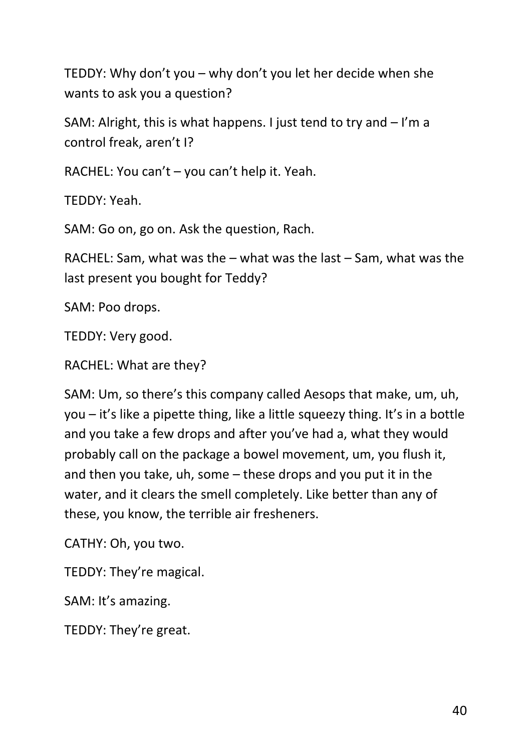TEDDY: Why don't you – why don't you let her decide when she wants to ask you a question?

SAM: Alright, this is what happens. I just tend to try and – I'm a control freak, aren't I?

RACHEL: You can't – you can't help it. Yeah.

TEDDY: Yeah.

SAM: Go on, go on. Ask the question, Rach.

RACHEL: Sam, what was the – what was the last – Sam, what was the last present you bought for Teddy?

SAM: Poo drops.

TEDDY: Very good.

RACHEL: What are they?

SAM: Um, so there's this company called Aesops that make, um, uh, you – it's like a pipette thing, like a little squeezy thing. It's in a bottle and you take a few drops and after you've had a, what they would probably call on the package a bowel movement, um, you flush it, and then you take, uh, some – these drops and you put it in the water, and it clears the smell completely. Like better than any of these, you know, the terrible air fresheners.

CATHY: Oh, you two.

TEDDY: They're magical.

SAM: It's amazing.

TEDDY: They're great.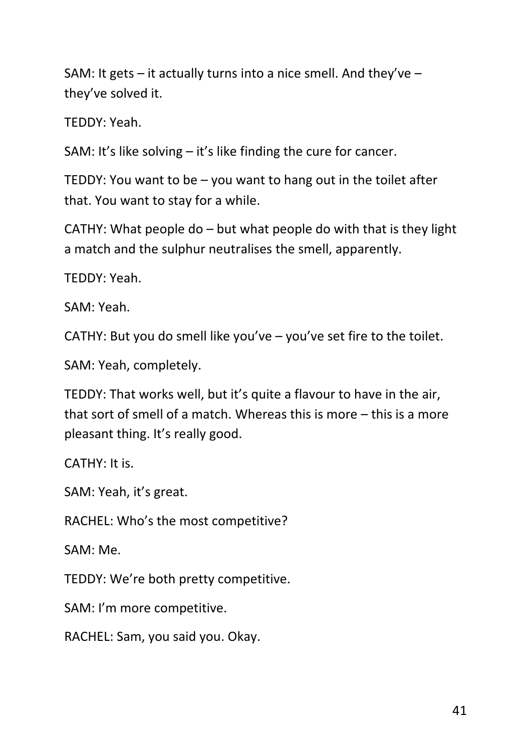SAM: It gets – it actually turns into a nice smell. And they've – they've solved it.

TEDDY: Yeah.

SAM: It's like solving – it's like finding the cure for cancer.

TEDDY: You want to be – you want to hang out in the toilet after that. You want to stay for a while.

CATHY: What people do – but what people do with that is they light a match and the sulphur neutralises the smell, apparently.

TEDDY: Yeah.

SAM: Yeah.

CATHY: But you do smell like you've – you've set fire to the toilet.

SAM: Yeah, completely.

TEDDY: That works well, but it's quite a flavour to have in the air, that sort of smell of a match. Whereas this is more – this is a more pleasant thing. It's really good.

CATHY: It is.

SAM: Yeah, it's great.

RACHEL: Who's the most competitive?

SAM: Me.

TEDDY: We're both pretty competitive.

SAM: I'm more competitive.

RACHEL: Sam, you said you. Okay.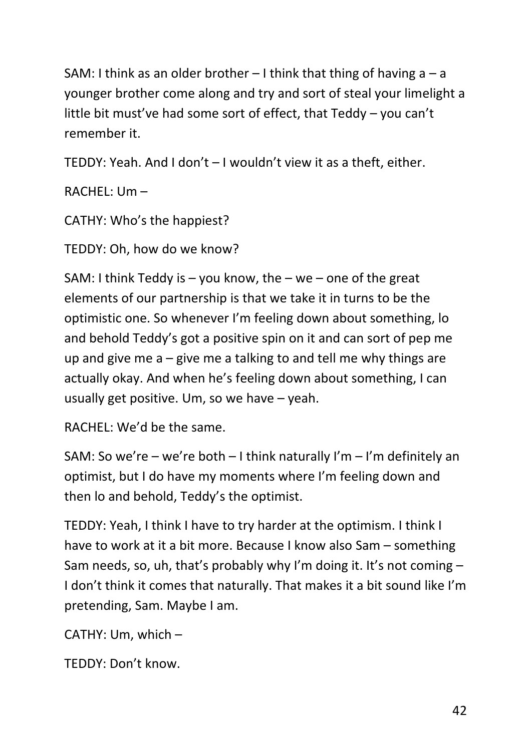SAM: I think as an older brother  $-1$  think that thing of having a  $-$  a younger brother come along and try and sort of steal your limelight a little bit must've had some sort of effect, that Teddy – you can't remember it.

TEDDY: Yeah. And I don't – I wouldn't view it as a theft, either.

RACHEL: Um –

CATHY: Who's the happiest?

TEDDY: Oh, how do we know?

SAM: I think Teddy is  $-$  you know, the  $-$  we  $-$  one of the great elements of our partnership is that we take it in turns to be the optimistic one. So whenever I'm feeling down about something, lo and behold Teddy's got a positive spin on it and can sort of pep me up and give me  $a - g$ ive me a talking to and tell me why things are actually okay. And when he's feeling down about something, I can usually get positive. Um, so we have – yeah.

RACHEL: We'd be the same.

SAM: So we're – we're both – I think naturally I'm – I'm definitely an optimist, but I do have my moments where I'm feeling down and then lo and behold, Teddy's the optimist.

TEDDY: Yeah, I think I have to try harder at the optimism. I think I have to work at it a bit more. Because I know also Sam – something Sam needs, so, uh, that's probably why I'm doing it. It's not coming – I don't think it comes that naturally. That makes it a bit sound like I'm pretending, Sam. Maybe I am.

CATHY: Um, which –

TEDDY: Don't know.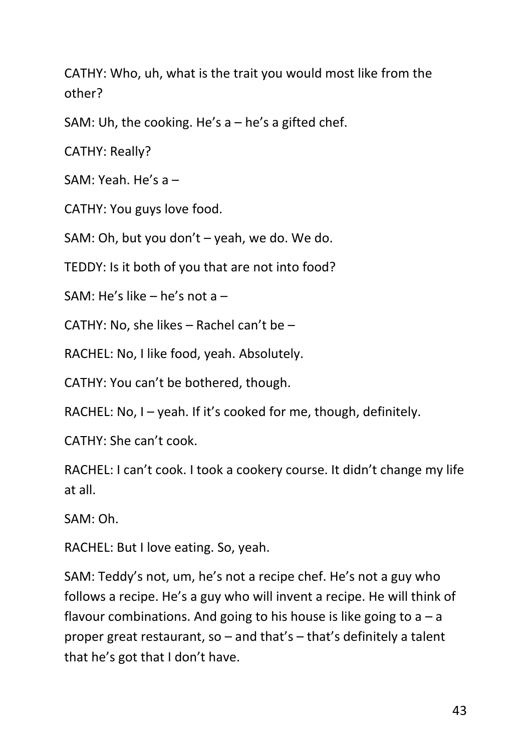CATHY: Who, uh, what is the trait you would most like from the other?

SAM: Uh, the cooking. He's  $a - he's$  a gifted chef.

CATHY: Really?

SAM: Yeah. He's a –

CATHY: You guys love food.

SAM: Oh, but you don't – yeah, we do. We do.

TEDDY: Is it both of you that are not into food?

SAM: He's like – he's not a –

CATHY: No, she likes – Rachel can't be –

RACHEL: No, I like food, yeah. Absolutely.

CATHY: You can't be bothered, though.

RACHEL: No, I – yeah. If it's cooked for me, though, definitely.

CATHY: She can't cook.

RACHEL: I can't cook. I took a cookery course. It didn't change my life at all.

SAM: Oh.

RACHEL: But I love eating. So, yeah.

SAM: Teddy's not, um, he's not a recipe chef. He's not a guy who follows a recipe. He's a guy who will invent a recipe. He will think of flavour combinations. And going to his house is like going to  $a - a$ proper great restaurant, so – and that's – that's definitely a talent that he's got that I don't have.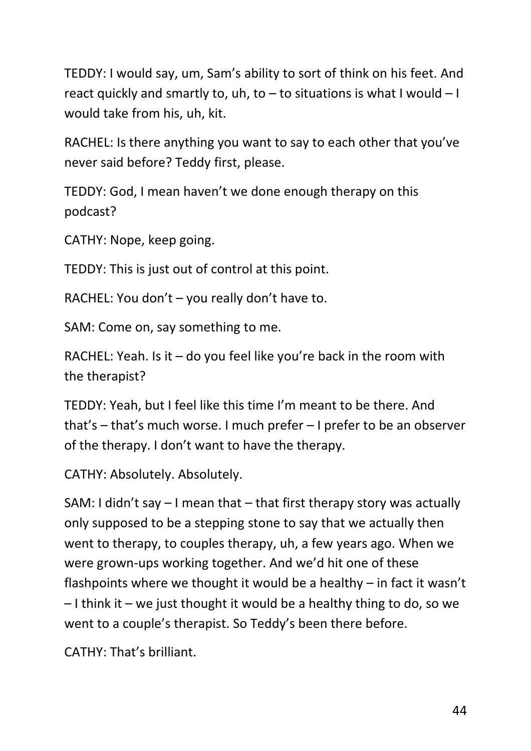TEDDY: I would say, um, Sam's ability to sort of think on his feet. And react quickly and smartly to,  $uh$ , to  $-$  to situations is what I would  $-1$ would take from his, uh, kit.

RACHEL: Is there anything you want to say to each other that you've never said before? Teddy first, please.

TEDDY: God, I mean haven't we done enough therapy on this podcast?

CATHY: Nope, keep going.

TEDDY: This is just out of control at this point.

RACHEL: You don't – you really don't have to.

SAM: Come on, say something to me.

RACHEL: Yeah. Is it – do you feel like you're back in the room with the therapist?

TEDDY: Yeah, but I feel like this time I'm meant to be there. And that's – that's much worse. I much prefer – I prefer to be an observer of the therapy. I don't want to have the therapy.

CATHY: Absolutely. Absolutely.

SAM: I didn't say – I mean that – that first therapy story was actually only supposed to be a stepping stone to say that we actually then went to therapy, to couples therapy, uh, a few years ago. When we were grown-ups working together. And we'd hit one of these flashpoints where we thought it would be a healthy – in fact it wasn't  $-1$  think it – we just thought it would be a healthy thing to do, so we went to a couple's therapist. So Teddy's been there before.

CATHY: That's brilliant.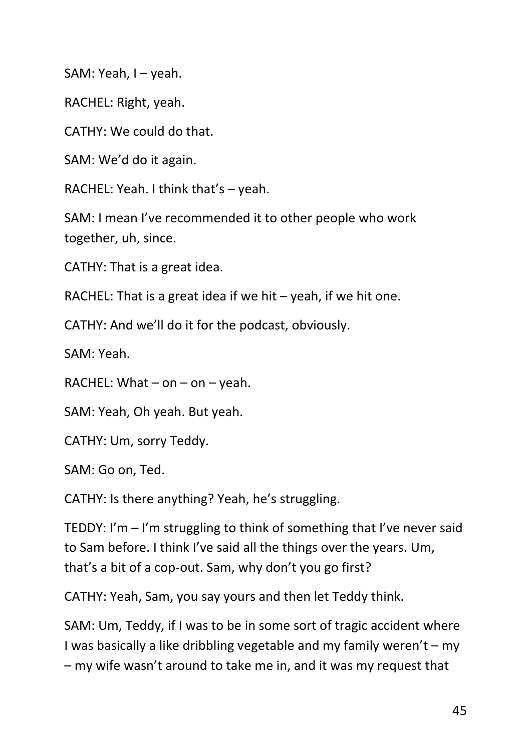SAM: Yeah, I – yeah.

RACHEL: Right, yeah.

CATHY: We could do that.

SAM: We'd do it again.

RACHEL: Yeah. I think that's – yeah.

SAM: I mean I've recommended it to other people who work together, uh, since.

CATHY: That is a great idea.

RACHEL: That is a great idea if we hit  $-$  yeah, if we hit one.

CATHY: And we'll do it for the podcast, obviously.

SAM: Yeah.

RACHEL: What  $-$  on  $-$  on  $-$  yeah.

SAM: Yeah, Oh yeah. But yeah.

CATHY: Um, sorry Teddy.

SAM: Go on, Ted.

CATHY: Is there anything? Yeah, he's struggling.

TEDDY: I'm – I'm struggling to think of something that I've never said to Sam before. I think I've said all the things over the years. Um, that's a bit of a cop-out. Sam, why don't you go first?

CATHY: Yeah, Sam, you say yours and then let Teddy think.

SAM: Um, Teddy, if I was to be in some sort of tragic accident where I was basically a like dribbling vegetable and my family weren't – my – my wife wasn't around to take me in, and it was my request that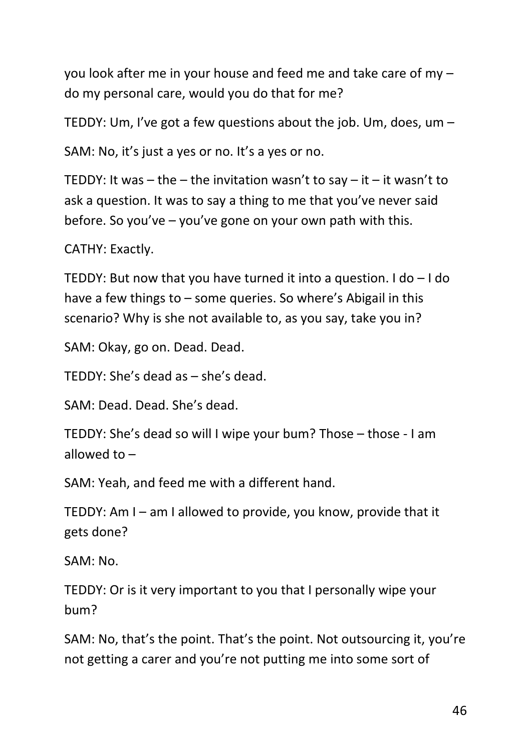you look after me in your house and feed me and take care of my – do my personal care, would you do that for me?

TEDDY: Um, I've got a few questions about the job. Um, does, um –

SAM: No, it's just a yes or no. It's a yes or no.

TEDDY: It was – the – the invitation wasn't to say – it – it wasn't to ask a question. It was to say a thing to me that you've never said before. So you've – you've gone on your own path with this.

CATHY: Exactly.

TEDDY: But now that you have turned it into a question. I do – I do have a few things to – some queries. So where's Abigail in this scenario? Why is she not available to, as you say, take you in?

SAM: Okay, go on. Dead. Dead.

TEDDY: She's dead as – she's dead.

SAM: Dead. Dead. She's dead.

TEDDY: She's dead so will I wipe your bum? Those – those - I am allowed to –

SAM: Yeah, and feed me with a different hand.

TEDDY: Am I – am I allowed to provide, you know, provide that it gets done?

SAM: No.

TEDDY: Or is it very important to you that I personally wipe your bum?

SAM: No, that's the point. That's the point. Not outsourcing it, you're not getting a carer and you're not putting me into some sort of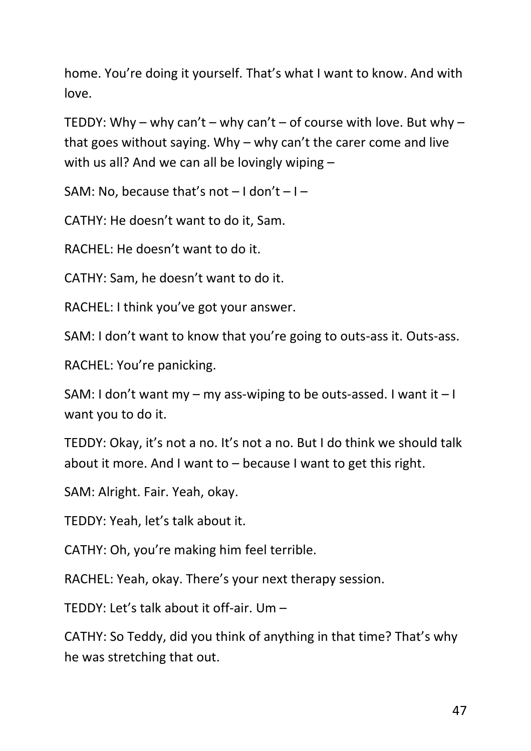home. You're doing it yourself. That's what I want to know. And with love.

TEDDY: Why – why can't – why can't – of course with love. But why – that goes without saying. Why – why can't the carer come and live with us all? And we can all be lovingly wiping –

SAM: No, because that's not  $-1$  don't  $-1$  –

CATHY: He doesn't want to do it, Sam.

RACHEL: He doesn't want to do it.

CATHY: Sam, he doesn't want to do it.

RACHEL: I think you've got your answer.

SAM: I don't want to know that you're going to outs-ass it. Outs-ass.

RACHEL: You're panicking.

SAM: I don't want my – my ass-wiping to be outs-assed. I want it  $-1$ want you to do it.

TEDDY: Okay, it's not a no. It's not a no. But I do think we should talk about it more. And I want to – because I want to get this right.

SAM: Alright. Fair. Yeah, okay.

TEDDY: Yeah, let's talk about it.

CATHY: Oh, you're making him feel terrible.

RACHEL: Yeah, okay. There's your next therapy session.

TEDDY: Let's talk about it off-air. Um –

CATHY: So Teddy, did you think of anything in that time? That's why he was stretching that out.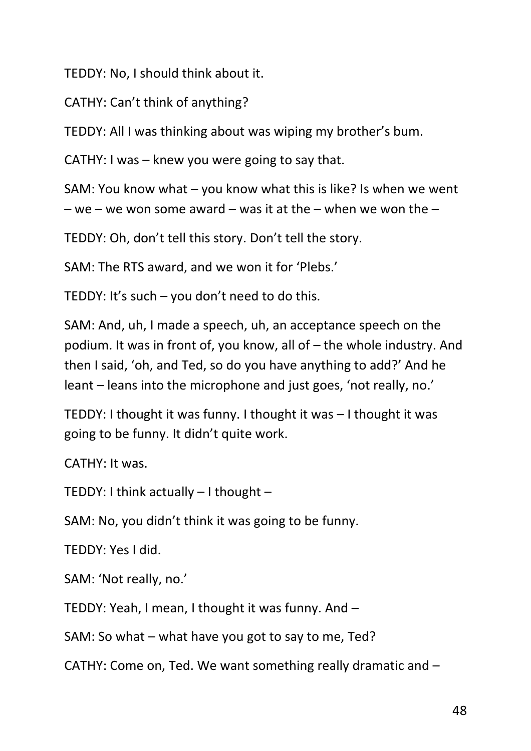TEDDY: No, I should think about it.

CATHY: Can't think of anything?

TEDDY: All I was thinking about was wiping my brother's bum.

CATHY: I was – knew you were going to say that.

SAM: You know what – you know what this is like? Is when we went

– we – we won some award – was it at the – when we won the –

TEDDY: Oh, don't tell this story. Don't tell the story.

SAM: The RTS award, and we won it for 'Plebs.'

TEDDY: It's such – you don't need to do this.

SAM: And, uh, I made a speech, uh, an acceptance speech on the podium. It was in front of, you know, all of – the whole industry. And then I said, 'oh, and Ted, so do you have anything to add?' And he leant – leans into the microphone and just goes, 'not really, no.'

TEDDY: I thought it was funny. I thought it was – I thought it was going to be funny. It didn't quite work.

CATHY: It was.

TEDDY: I think actually – I thought –

SAM: No, you didn't think it was going to be funny.

TEDDY: Yes I did.

SAM: 'Not really, no.'

TEDDY: Yeah, I mean, I thought it was funny. And –

SAM: So what – what have you got to say to me, Ted?

CATHY: Come on, Ted. We want something really dramatic and –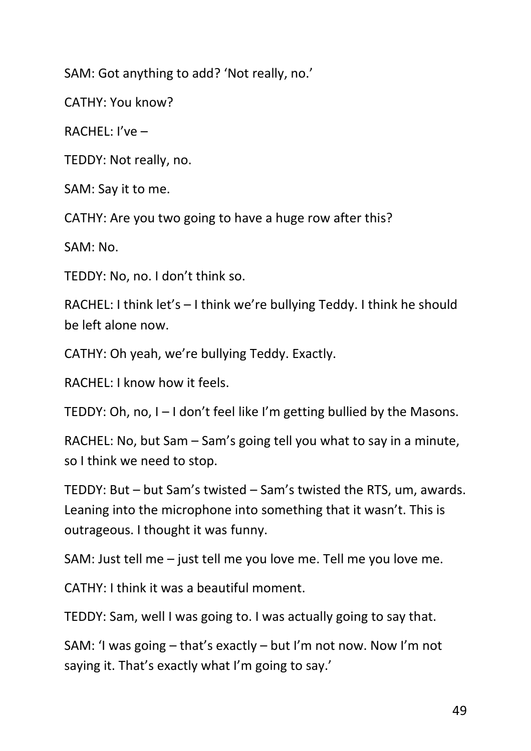SAM: Got anything to add? 'Not really, no.'

CATHY: You know?

RACHEL: I've –

TEDDY: Not really, no.

SAM: Say it to me.

CATHY: Are you two going to have a huge row after this?

SAM: No.

TEDDY: No, no. I don't think so.

RACHEL: I think let's – I think we're bullying Teddy. I think he should be left alone now.

CATHY: Oh yeah, we're bullying Teddy. Exactly.

RACHEL: I know how it feels.

TEDDY: Oh, no, I – I don't feel like I'm getting bullied by the Masons.

RACHEL: No, but Sam – Sam's going tell you what to say in a minute, so I think we need to stop.

TEDDY: But – but Sam's twisted – Sam's twisted the RTS, um, awards. Leaning into the microphone into something that it wasn't. This is outrageous. I thought it was funny.

SAM: Just tell me – just tell me you love me. Tell me you love me.

CATHY: I think it was a beautiful moment.

TEDDY: Sam, well I was going to. I was actually going to say that.

SAM: 'I was going – that's exactly – but I'm not now. Now I'm not saying it. That's exactly what I'm going to say.'